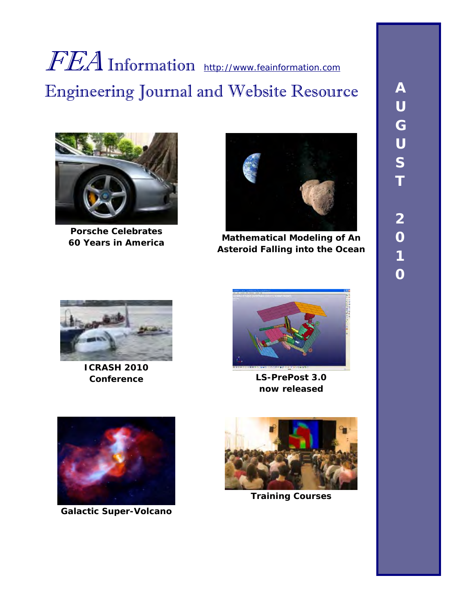# FEA Information [http://www.feainformation.com](http://www.feainformation.com/) Engineering Journal and Website Resource



**Porsche Celebrates** 



**60 Years in America Mathematical Modeling of An Asteroid Falling into the Ocean** 



**ICRASH 2010** 



**Conference LS-PrePost 3.0 now released** 

![](_page_0_Picture_9.jpeg)

**Galactic Super-Volcano** 

![](_page_0_Picture_11.jpeg)

**Training Courses**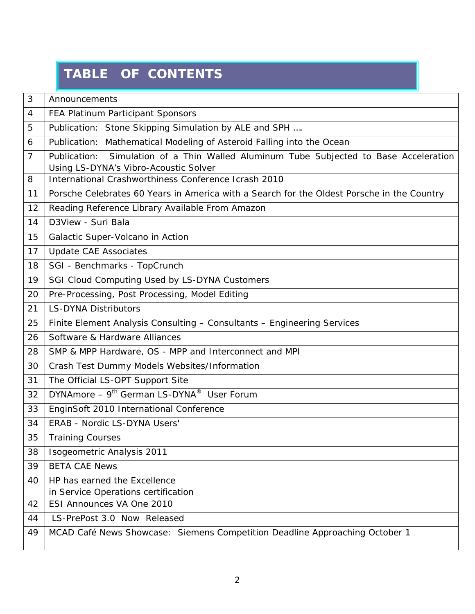## **TABLE OF CONTENTS**

| 3  | Announcements                                                                                 |
|----|-----------------------------------------------------------------------------------------------|
| 4  | FEA Platinum Participant Sponsors                                                             |
| 5  | Publication: Stone Skipping Simulation by ALE and SPH                                         |
| 6  | Publication: Mathematical Modeling of Asteroid Falling into the Ocean                         |
| 7  | Simulation of a Thin Walled Aluminum Tube Subjected to Base Acceleration<br>Publication:      |
| 8  | Using LS-DYNA's Vibro-Acoustic Solver<br>International Crashworthiness Conference Icrash 2010 |
| 11 | Porsche Celebrates 60 Years in America with a Search for the Oldest Porsche in the Country    |
| 12 | Reading Reference Library Available From Amazon                                               |
| 14 | D3View - Suri Bala                                                                            |
| 15 | Galactic Super-Volcano in Action                                                              |
| 17 | <b>Update CAE Associates</b>                                                                  |
| 18 | SGI - Benchmarks - TopCrunch                                                                  |
| 19 | SGI Cloud Computing Used by LS-DYNA Customers                                                 |
| 20 | Pre-Processing, Post Processing, Model Editing                                                |
| 21 | <b>LS-DYNA Distributors</b>                                                                   |
| 25 | Finite Element Analysis Consulting - Consultants - Engineering Services                       |
| 26 | Software & Hardware Alliances                                                                 |
| 28 | SMP & MPP Hardware, OS - MPP and Interconnect and MPI                                         |
| 30 | Crash Test Dummy Models Websites/Information                                                  |
| 31 | The Official LS-OPT Support Site                                                              |
| 32 | DYNAmore - 9 <sup>th</sup> German LS-DYNA <sup>®</sup> User Forum                             |
| 33 | EnginSoft 2010 International Conference                                                       |
| 34 | ERAB - Nordic LS-DYNA Users'                                                                  |
| 35 | <b>Training Courses</b>                                                                       |
| 38 | Isogeometric Analysis 2011                                                                    |
| 39 | <b>BETA CAE News</b>                                                                          |
| 40 | HP has earned the Excellence<br>in Service Operations certification                           |
| 42 | ESI Announces VA One 2010                                                                     |
| 44 | LS-PrePost 3.0 Now Released                                                                   |
| 49 | MCAD Café News Showcase: Siemens Competition Deadline Approaching October 1                   |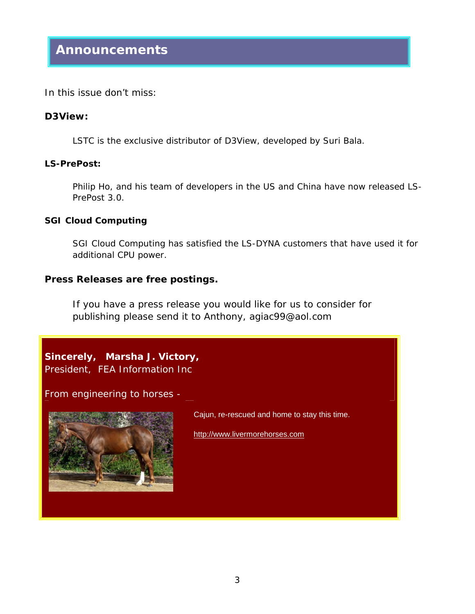In this issue don't miss:

#### **D3View:**

LSTC is the exclusive distributor of D3View, developed by Suri Bala.

#### **LS-PrePost:**

Philip Ho, and his team of developers in the US and China have now released LS-PrePost 3.0.

#### **SGI Cloud Computing**

SGI Cloud Computing has satisfied the LS-DYNA customers that have used it for additional CPU power.

#### **Press Releases are free postings.**

If you have a press release you would like for us to consider for publishing please send it to Anthony, agiac99@aol.com

**Sincerely, Marsha J. Victory,** President, FEA Information Inc

From engineering to horses -

![](_page_2_Picture_12.jpeg)

Cajun, re-rescued and home to stay this time.

[http://www.livermorehorses.com](http://www.livermorehorses.com/)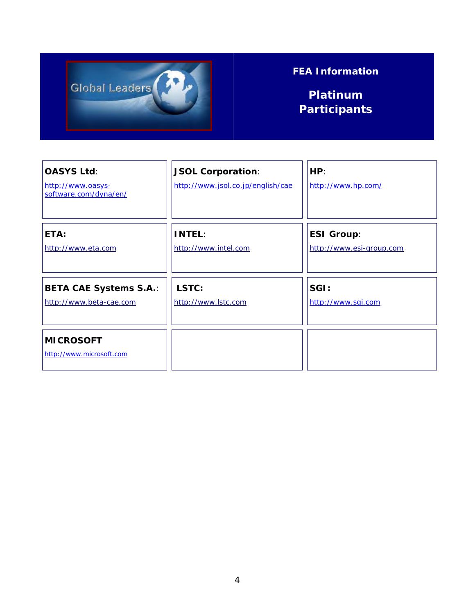![](_page_3_Picture_0.jpeg)

### **FEA Information**

**Platinum Participants** 

| <b>OASYS Ltd:</b><br>http://www.oasys-<br>software.com/dyna/en/ | <b>JSOL Corporation:</b><br>http://www.jsol.co.jp/english/cae | HP:<br>http://www.hp.com/ |
|-----------------------------------------------------------------|---------------------------------------------------------------|---------------------------|
| ETA:                                                            | <b>INTEL:</b>                                                 | <b>ESI Group:</b>         |
| http://www.eta.com                                              | http://www.intel.com                                          | http://www.esi-group.com  |
| <b>BETA CAE Systems S.A.:</b>                                   | LSTC:                                                         | SGI:                      |
| http://www.beta-cae.com                                         | http://www.lstc.com                                           | http://www.sqi.com        |
| <b>MICROSOFT</b><br>http://www.microsoft.com                    |                                                               |                           |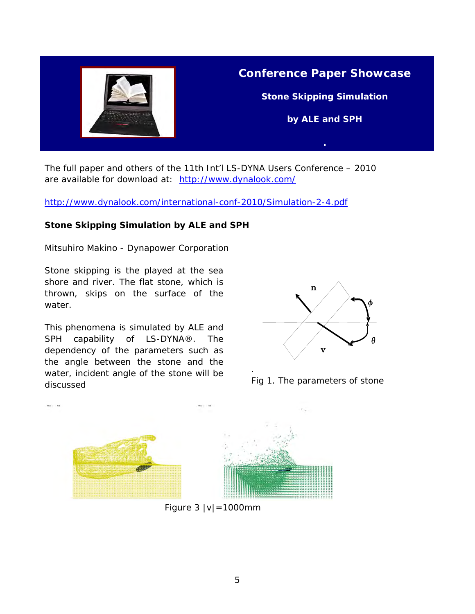![](_page_4_Picture_0.jpeg)

The full paper and others of the 11th Int'l LS-DYNA Users Conference – 2010 are available for download at: <http://www.dynalook.com/>

<http://www.dynalook.com/international-conf-2010/Simulation-2-4.pdf>

#### **Stone Skipping Simulation by ALE and SPH**

Mitsuhiro Makino - Dynapower Corporation

Stone skipping is the played at the sea shore and river. The flat stone, which is thrown, skips on the surface of the water.

This phenomena is simulated by ALE and SPH capability of LS-DYNA®. The dependency of the parameters such as the angle between the stone and the water, incident angle of the stone will be discussed

![](_page_4_Figure_7.jpeg)

Fig 1. The parameters of stone

![](_page_4_Figure_9.jpeg)

Figure 3 |v|=1000mm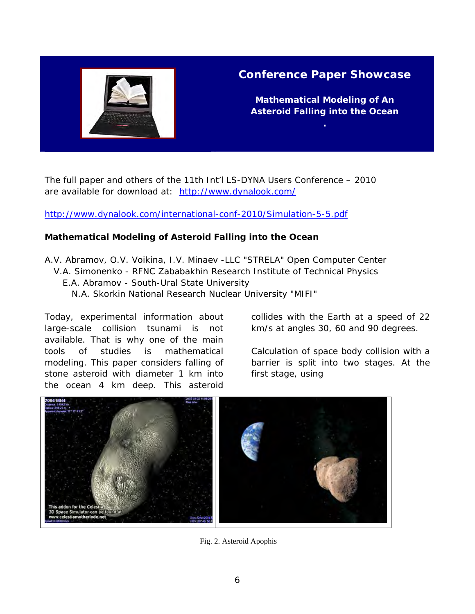![](_page_5_Picture_0.jpeg)

#### **Conference Paper Showcase**

**Mathematical Modeling of An Asteroid Falling into the Ocean** 

The full paper and others of the 11th Int'l LS-DYNA Users Conference – 2010 are available for download at: http://www.dynalook.com/

<http://www.dynalook.com/international-conf-2010/Simulation-5-5.pdf>

#### **Mathematical Modeling of Asteroid Falling into the Ocean**

A.V. Abramov, O.V. Voikina, I.V. Minaev -LLC "STRELA" Open Computer Center V.A. Simonenko - RFNC Zababakhin Research Institute of Technical Physics E.A. Abramov - South-Ural State University N.A. Skorkin National Research Nuclear University "MIFI"

Today, experimental information about large-scale collision tsunami is not available. That is why one of the main tools of studies is mathematical modeling. This paper considers falling of stone asteroid with diameter 1 km into the ocean 4 km deep. This asteroid

collides with the Earth at a speed of 22 km/s at angles 30, 60 and 90 degrees.

Calculation of space body collision with a barrier is split into two stages. At the first stage, using

![](_page_5_Picture_10.jpeg)

Fig. 2. Asteroid Apophis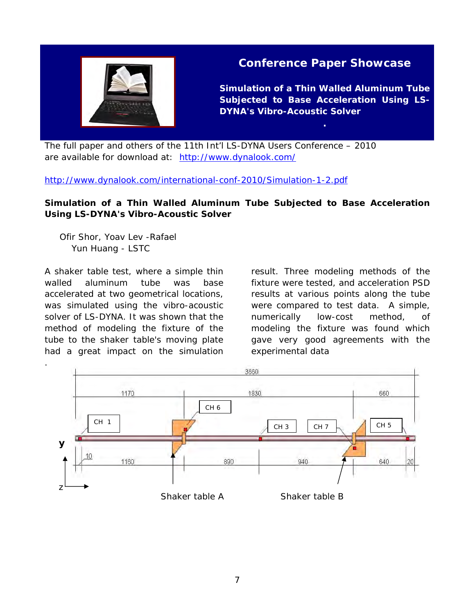![](_page_6_Picture_0.jpeg)

#### **Conference Paper Showcase**

**Simulation of a Thin Walled Aluminum Tube Subjected to Base Acceleration Using LS-DYNA's Vibro-Acoustic Solver** 

The full paper and others of the 11th Int'l LS-DYNA Users Conference – 2010 are available for download at: <http://www.dynalook.com/>

<http://www.dynalook.com/international-conf-2010/Simulation-1-2.pdf>

#### **Simulation of a Thin Walled Aluminum Tube Subjected to Base Acceleration Using LS-DYNA's Vibro-Acoustic Solver**

 Ofir Shor, Yoav Lev -Rafael Yun Huang - LSTC

A shaker table test, where a simple thin walled aluminum tube was base accelerated at two geometrical locations, was simulated using the vibro-acoustic solver of LS-DYNA. It was shown that the method of modeling the fixture of the tube to the shaker table's moving plate had a great impact on the simulation result. Three modeling methods of the fixture were tested, and acceleration PSD results at various points along the tube were compared to test data. A simple, numerically low-cost method, of modeling the fixture was found which gave very good agreements with the experimental data

![](_page_6_Figure_9.jpeg)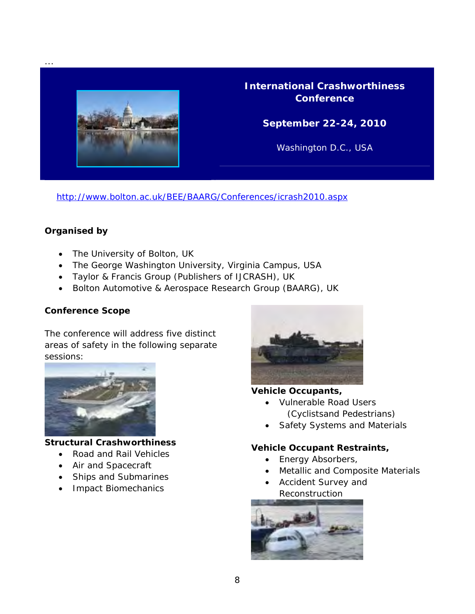![](_page_7_Picture_0.jpeg)

**International Crashworthiness Conference** 

**September 22-24, 2010** 

Washington D.C., USA

<http://www.bolton.ac.uk/BEE/BAARG/Conferences/icrash2010.aspx>

#### **Organised by**

...

- The University of Bolton, UK
- The George Washington University, Virginia Campus, USA
- Taylor & Francis Group (Publishers of IJCRASH), UK
- Bolton Automotive & Aerospace Research Group (BAARG), UK

#### **Conference Scope**

The conference will address five distinct areas of safety in the following separate sessions:

![](_page_7_Picture_12.jpeg)

#### **Structural Crashworthiness**

- Road and Rail Vehicles
- Air and Spacecraft
- Ships and Submarines
- Impact Biomechanics

![](_page_7_Picture_18.jpeg)

#### **Vehicle Occupants,**

- Vulnerable Road Users (Cyclistsand Pedestrians)
- Safety Systems and Materials

#### **Vehicle Occupant Restraints,**

- Energy Absorbers,
- Metallic and Composite Materials
- Accident Survey and Reconstruction

![](_page_7_Picture_26.jpeg)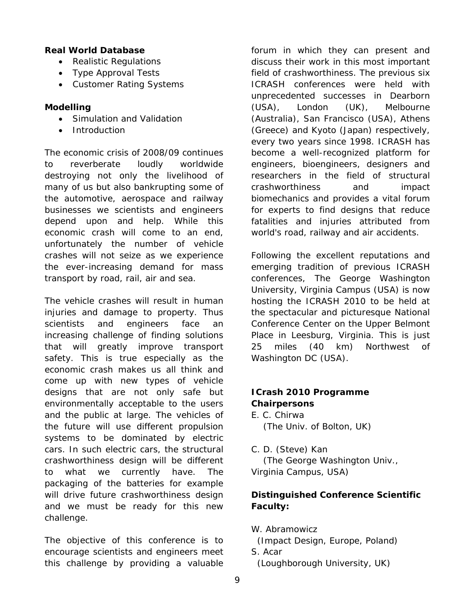#### **Real World Database**

- Realistic Regulations
- Type Approval Tests
- Customer Rating Systems

#### **Modelling**

- Simulation and Validation
- Introduction

The economic crisis of 2008/09 continues to reverberate loudly worldwide destroying not only the livelihood of many of us but also bankrupting some of the automotive, aerospace and railway businesses we scientists and engineers depend upon and help. While this economic crash will come to an end, unfortunately the number of vehicle crashes will not seize as we experience the ever-increasing demand for mass transport by road, rail, air and sea.

The vehicle crashes will result in human injuries and damage to property. Thus scientists and engineers face an increasing challenge of finding solutions that will greatly improve transport safety. This is true especially as the economic crash makes us all think and come up with new types of vehicle designs that are not only safe but environmentally acceptable to the users and the public at large. The vehicles of the future will use different propulsion systems to be dominated by electric cars. In such electric cars, the structural crashworthiness design will be different to what we currently have. The packaging of the batteries for example will drive future crashworthiness design and we must be ready for this new challenge.

The objective of this conference is to encourage scientists and engineers meet this challenge by providing a valuable

forum in which they can present and discuss their work in this most important field of crashworthiness. The previous six ICRASH conferences were held with unprecedented successes in Dearborn (USA), London (UK), Melbourne (Australia), San Francisco (USA), Athens (Greece) and Kyoto (Japan) respectively, every two years since 1998. ICRASH has become a well-recognized platform for engineers, bioengineers, designers and researchers in the field of structural crashworthiness and impact biomechanics and provides a vital forum for experts to find designs that reduce fatalities and injuries attributed from world's road, railway and air accidents.

Following the excellent reputations and emerging tradition of previous ICRASH conferences, The George Washington University, Virginia Campus (USA) is now hosting the ICRASH 2010 to be held at the spectacular and picturesque National Conference Center on the Upper Belmont Place in Leesburg, Virginia. This is just 25 miles (40 km) Northwest of Washington DC (USA).

#### **ICrash 2010 Programme Chairpersons**

- E. C. Chirwa (The Univ. of Bolton, UK)
- C. D. (Steve) Kan (The George Washington Univ., Virginia Campus, USA)

#### **Distinguished Conference Scientific Faculty:**

- W. Abramowicz
- (Impact Design, Europe, Poland)
- S. Acar

(Loughborough University, UK)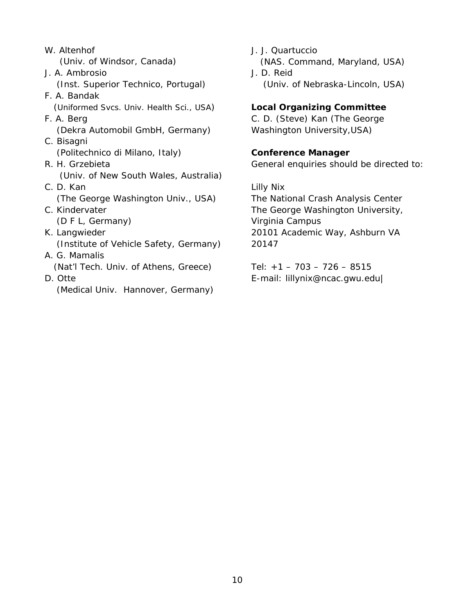- W. Altenhof (Univ. of Windsor, Canada) J. A. Ambrosio (Inst. Superior Technico, Portugal) F. A. Bandak (Uniformed Svcs. Univ. Health Sci., USA) F. A. Berg (Dekra Automobil GmbH, Germany) C. Bisagni (Politechnico di Milano, Italy) R. H. Grzebieta (Univ. of New South Wales, Australia) C. D. Kan (The George Washington Univ., USA) C. Kindervater (D F L, Germany) K. Langwieder (Institute of Vehicle Safety, Germany) A. G. Mamalis (Nat'l Tech. Univ. of Athens, Greece) D. Otte (Medical Univ. Hannover, Germany)
- J. J. Quartuccio (NAS. Command, Maryland, USA) J. D. Reid (Univ. of Nebraska-Lincoln, USA)

#### **Local Organizing Committee**

C. D. (Steve) Kan (The George Washington University,USA)

#### **Conference Manager**

General enquiries should be directed to:

Lilly Nix The National Crash Analysis Center The George Washington University, Virginia Campus 20101 Academic Way, Ashburn VA 20147

Tel:  $+1 - 703 - 726 - 8515$ E-mail: lillynix@ncac.gwu.edu|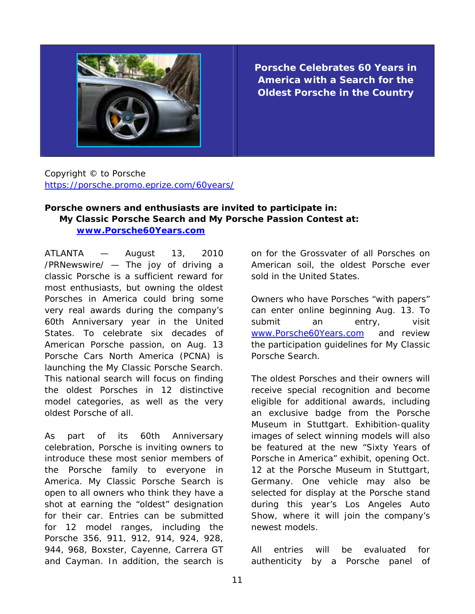![](_page_10_Picture_0.jpeg)

**Porsche Celebrates 60 Years in America with a Search for the Oldest Porsche in the Country** 

Copyright © to Porsche <https://porsche.promo.eprize.com/60years/>

#### **Porsche owners and enthusiasts are invited to participate in: My Classic Porsche Search and My Porsche Passion Contest at: [www.Porsche60Years.com](http://www.porsche60years.com/)**

ATLANTA — August 13, 2010 /PRNewswire/ — The joy of driving a classic Porsche is a sufficient reward for most enthusiasts, but owning the oldest Porsches in America could bring some very real awards during the company's 60th Anniversary year in the United States. To celebrate six decades of American Porsche passion, on Aug. 13 Porsche Cars North America (PCNA) is launching the My Classic Porsche Search. This national search will focus on finding the oldest Porsches in 12 distinctive model categories, as well as the very oldest Porsche of all.

As part of its 60th Anniversary celebration, Porsche is inviting owners to introduce these most senior members of the Porsche family to everyone in America. My Classic Porsche Search is open to all owners who think they have a shot at earning the "oldest" designation for their car. Entries can be submitted for 12 model ranges, including the Porsche 356, 911, 912, 914, 924, 928, 944, 968, Boxster, Cayenne, Carrera GT and Cayman. In addition, the search is

on for the Grossvater of all Porsches on American soil, the oldest Porsche ever sold in the United States.

Owners who have Porsches "with papers" can enter online beginning Aug. 13. To submit an entry, visit [www.Porsche60Years.com](http://www.porsche60years.com/) and review the participation guidelines for My Classic Porsche Search.

The oldest Porsches and their owners will receive special recognition and become eligible for additional awards, including an exclusive badge from the Porsche Museum in Stuttgart. Exhibition-quality images of select winning models will also be featured at the new "Sixty Years of Porsche in America" exhibit, opening Oct. 12 at the Porsche Museum in Stuttgart, Germany. One vehicle may also be selected for display at the Porsche stand during this year's Los Angeles Auto Show, where it will join the company's newest models.

All entries will be evaluated for authenticity by a Porsche panel of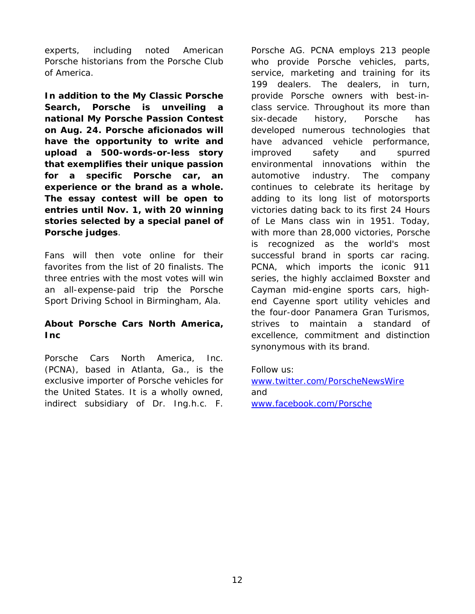experts, including noted American Porsche historians from the Porsche Club of America.

**In addition to the My Classic Porsche Search, Porsche is unveiling a national My Porsche Passion Contest on Aug. 24. Porsche aficionados will have the opportunity to write and upload a 500-words-or-less story that exemplifies their unique passion for a specific Porsche car, an experience or the brand as a whole. The essay contest will be open to entries until Nov. 1, with 20 winning stories selected by a special panel of Porsche judges**.

Fans will then vote online for their favorites from the list of 20 finalists. The three entries with the most votes will win an all-expense-paid trip the Porsche Sport Driving School in Birmingham, Ala.

#### **About Porsche Cars North America, Inc**

Porsche Cars North America, Inc. (PCNA), based in Atlanta, Ga., is the exclusive importer of Porsche vehicles for the United States. It is a wholly owned, indirect subsidiary of Dr. Ing.h.c. F.

Porsche AG. PCNA employs 213 people who provide Porsche vehicles, parts, service, marketing and training for its 199 dealers. The dealers, in turn, provide Porsche owners with best-inclass service. Throughout its more than six-decade history, Porsche has developed numerous technologies that have advanced vehicle performance, improved safety and spurred environmental innovations within the automotive industry. The company continues to celebrate its heritage by adding to its long list of motorsports victories dating back to its first 24 Hours of Le Mans class win in 1951. Today, with more than 28,000 victories, Porsche is recognized as the world's most successful brand in sports car racing. PCNA, which imports the iconic 911 series, the highly acclaimed Boxster and Cayman mid-engine sports cars, highend Cayenne sport utility vehicles and the four-door Panamera Gran Turismos, strives to maintain a standard of excellence, commitment and distinction synonymous with its brand.

Follow us:

[www.twitter.com/PorscheNewsWire](http://www.twitter.com/PorscheNewsWire)  and [www.facebook.com/Porsche](http://www.facebook.com/Porsche)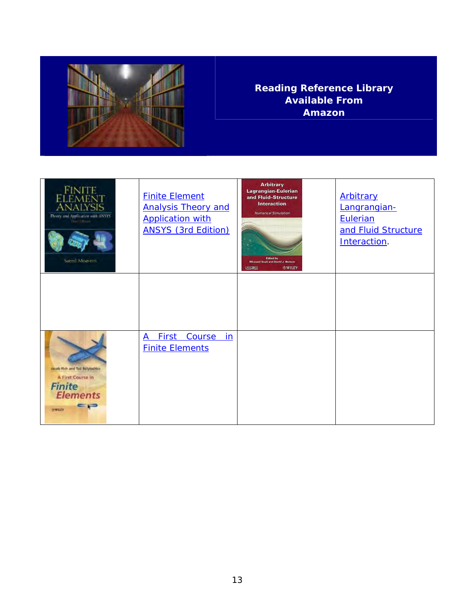![](_page_12_Picture_0.jpeg)

#### **Reading Reference Library Available From Amazon**

| <b>FINITE</b><br>AIYSIS<br>Theory and Application with ANSYS<br><b>Perrit Fillman</b><br>Sared Mouvern   | <b>Finite Element</b><br><b>Analysis Theory and</b><br><b>Application with</b><br><b>ANSYS (3rd Edition)</b> | <b>Arbitrary</b><br>Lagrangian-Eulerian<br>and Fluid-Structure<br><b>Interaction</b><br>Numerical Simulation<br><b>Edited by</b><br>Whaned Souli and David J. Benson<br><b>WWILEY</b><br>$E =$ | Arbitrary<br>Langrangian-<br>Eulerian<br>and Fluid Structure<br>Interaction. |
|----------------------------------------------------------------------------------------------------------|--------------------------------------------------------------------------------------------------------------|------------------------------------------------------------------------------------------------------------------------------------------------------------------------------------------------|------------------------------------------------------------------------------|
|                                                                                                          |                                                                                                              |                                                                                                                                                                                                |                                                                              |
| Jacob Fish and Ted Relytachko<br>A First Course in<br><b>Finite</b><br><b>Elements</b><br><b>MARTIEV</b> | <b>First</b><br><b>Course</b><br>in<br>A<br><b>Finite Elements</b>                                           |                                                                                                                                                                                                |                                                                              |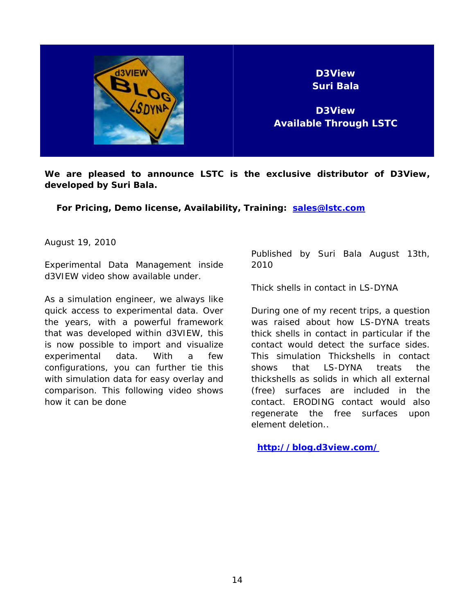![](_page_13_Picture_0.jpeg)

**We are pleased to announce LSTC is the exclusive distributor of D3View, developed by Suri Bala.** 

 **For Pricing, Demo license, Availability, Training: [sales@lstc.com](mailto:sales@lstc.com)** 

August 19, 2010

Experimental Data Management inside d3VIEW video show available under.

As a simulation engineer, we always like quick access to experimental data. Over the years, with a powerful framework that was developed within d3VIEW, this is now possible to import and visualize experimental data. With a few configurations, you can further tie this with simulation data for easy overlay and comparison. This following video shows how it can be done

Published by Suri Bala August 13th, 2010

Thick shells in contact in LS-DYNA

During one of my recent trips, a question was raised about how LS-DYNA treats thick shells in contact in particular if the contact would detect the surface sides. This simulation Thickshells in contact shows that LS-DYNA treats the thickshells as solids in which all external (free) surfaces are included in the contact. ERODING contact would also regenerate the free surfaces upon element deletion..

**<http://blog.d3view.com/>**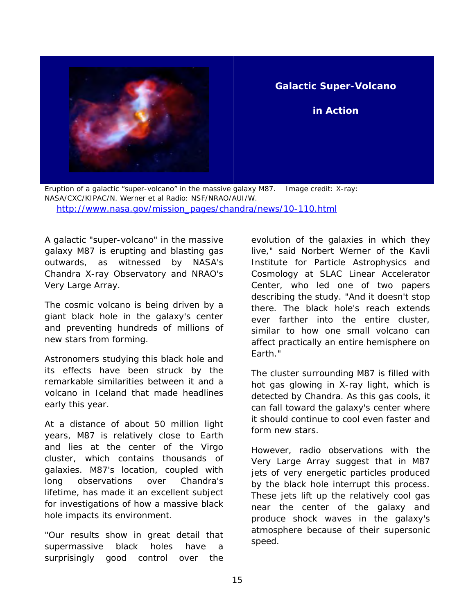![](_page_14_Picture_0.jpeg)

#### **in Action**

Eruption of a galactic "super-volcano" in the massive galaxy M87. Image credit: X-ray: NASA/CXC/KIPAC/N. Werner et al Radio: NSF/NRAO/AUI/W. [http://www.nasa.gov/mission\\_pages/chandra/news/10-110.html](http://www.nasa.gov/mission_pages/chandra/news/10-110.html) 

A galactic "super-volcano" in the massive galaxy M87 is erupting and blasting gas outwards, as witnessed by NASA's Chandra X-ray Observatory and NRAO's Very Large Array.

The cosmic volcano is being driven by a giant black hole in the galaxy's center and preventing hundreds of millions of new stars from forming.

Astronomers studying this black hole and its effects have been struck by the remarkable similarities between it and a volcano in Iceland that made headlines early this year.

At a distance of about 50 million light years, M87 is relatively close to Earth and lies at the center of the Virgo cluster, which contains thousands of galaxies. M87's location, coupled with long observations over Chandra's lifetime, has made it an excellent subject for investigations of how a massive black hole impacts its environment.

"Our results show in great detail that supermassive black holes have a surprisingly good control over the evolution of the galaxies in which they live," said Norbert Werner of the Kavli Institute for Particle Astrophysics and Cosmology at SLAC Linear Accelerator Center, who led one of two papers describing the study. "And it doesn't stop there. The black hole's reach extends ever farther into the entire cluster, similar to how one small volcano can affect practically an entire hemisphere on Earth."

The cluster surrounding M87 is filled with hot gas glowing in X-ray light, which is detected by Chandra. As this gas cools, it can fall toward the galaxy's center where it should continue to cool even faster and form new stars.

However, radio observations with the Very Large Array suggest that in M87 jets of very energetic particles produced by the black hole interrupt this process. These jets lift up the relatively cool gas near the center of the galaxy and produce shock waves in the galaxy's atmosphere because of their supersonic speed.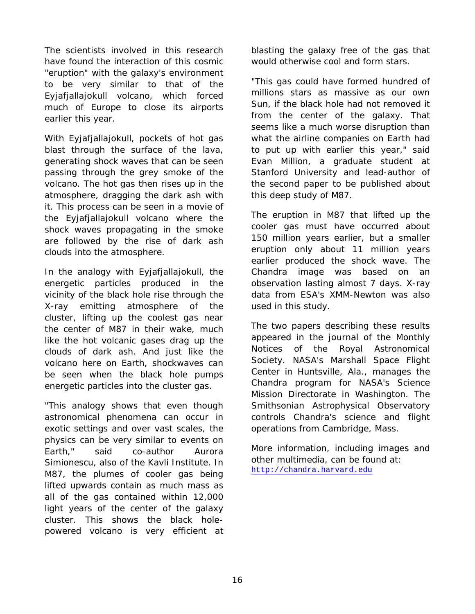The scientists involved in this research have found the interaction of this cosmic "eruption" with the galaxy's environment to be very similar to that of the Eyjafjallajokull volcano, which forced much of Europe to close its airports earlier this year.

With Eyjafjallajokull, pockets of hot gas blast through the surface of the lava, generating shock waves that can be seen passing through the grey smoke of the volcano. The hot gas then rises up in the atmosphere, dragging the dark ash with it. This process can be seen in a movie of the Eyjafjallajokull volcano where the shock waves propagating in the smoke are followed by the rise of dark ash clouds into the atmosphere.

In the analogy with Eyjafjallajokull, the energetic particles produced in the vicinity of the black hole rise through the X-ray emitting atmosphere of the cluster, lifting up the coolest gas near the center of M87 in their wake, much like the hot volcanic gases drag up the clouds of dark ash. And just like the volcano here on Earth, shockwaves can be seen when the black hole pumps energetic particles into the cluster gas.

"This analogy shows that even though astronomical phenomena can occur in exotic settings and over vast scales, the physics can be very similar to events on Earth," said co-author Aurora Simionescu, also of the Kavli Institute. In M87, the plumes of cooler gas being lifted upwards contain as much mass as all of the gas contained within 12,000 light years of the center of the galaxy cluster. This shows the black holepowered volcano is very efficient at blasting the galaxy free of the gas that would otherwise cool and form stars.

"This gas could have formed hundred of millions stars as massive as our own Sun, if the black hole had not removed it from the center of the galaxy. That seems like a much worse disruption than what the airline companies on Earth had to put up with earlier this year," said Evan Million, a graduate student at Stanford University and lead-author of the second paper to be published about this deep study of M87.

The eruption in M87 that lifted up the cooler gas must have occurred about 150 million years earlier, but a smaller eruption only about 11 million years earlier produced the shock wave. The Chandra image was based on an observation lasting almost 7 days. X-ray data from ESA's XMM-Newton was also used in this study.

The two papers describing these results appeared in the journal of the Monthly Notices of the Royal Astronomical Society. NASA's Marshall Space Flight Center in Huntsville, Ala., manages the Chandra program for NASA's Science Mission Directorate in Washington. The Smithsonian Astrophysical Observatory controls Chandra's science and flight operations from Cambridge, Mass.

More information, including images and other multimedia, can be found at: [http://chandra.harvard.edu](http://chandra.harvard.edu/)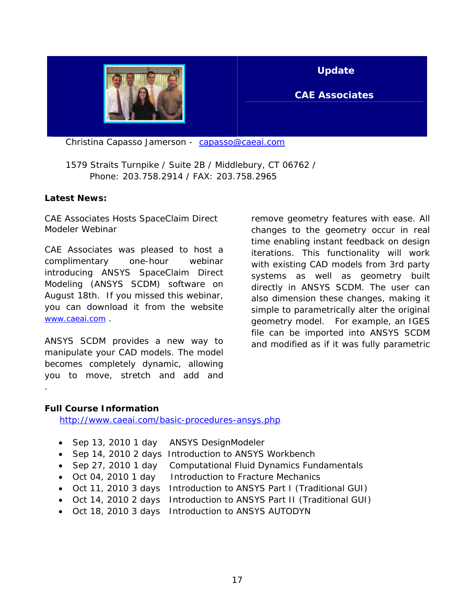![](_page_16_Picture_0.jpeg)

#### **Update**

#### **CAE Associates**

Christina Capasso Jamerson - [capasso@caeai.com](mailto:capasso@caeai.com)

 1579 Straits Turnpike / Suite 2B / Middlebury, CT 06762 / Phone: 203.758.2914 / FAX: 203.758.2965

#### **Latest News:**

CAE Associates Hosts SpaceClaim Direct Modeler Webinar

CAE Associates was pleased to host a complimentary one-hour webinar introducing ANSYS SpaceClaim Direct Modeling (ANSYS SCDM) software on August 18th. If you missed this webinar, you can download it from the website [www.caeai.com](http://www.caeai.com/) .

ANSYS SCDM provides a new way to manipulate your CAD models. The model becomes completely dynamic, allowing you to move, stretch and add and

remove geometry features with ease. All changes to the geometry occur in real time enabling instant feedback on design iterations. This functionality will work with existing CAD models from 3rd party systems as well as geometry built directly in ANSYS SCDM. The user can also dimension these changes, making it simple to parametrically alter the original geometry model. For example, an IGES file can be imported into ANSYS SCDM and modified as if it was fully parametric

#### **Full Course Information**

.

<http://www.caeai.com/basic-procedures-ansys.php>

- Sep 13, 2010 1 day ANSYS DesignModeler
- Sep 14, 2010 2 days Introduction to ANSYS Workbench
- Sep 27, 2010 1 day Computational Fluid Dynamics Fundamentals
- Oct 04, 2010 1 day Introduction to Fracture Mechanics
- Oct 11, 2010 3 days Introduction to ANSYS Part I (Traditional GUI)
- Oct 14, 2010 2 days Introduction to ANSYS Part II (Traditional GUI)
- Oct 18, 2010 3 days Introduction to ANSYS AUTODYN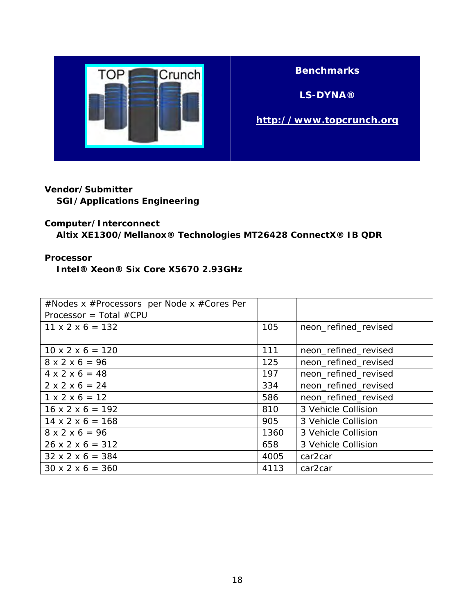![](_page_17_Picture_0.jpeg)

#### **Benchmarks**

**LS-DYNA®** 

#### **[http://www.topcrunch.org](http://www.topcrunch.org/)**

### **Vendor/Submitter**

**SGI/Applications Engineering** 

#### **Computer/Interconnect**

### **Altix XE1300/Mellanox® Technologies MT26428 ConnectX® IB QDR**

#### **Processor**

 **Intel® Xeon® Six Core X5670 2.93GHz** 

| #Nodes x #Processors per Node x #Cores Per |      |                      |
|--------------------------------------------|------|----------------------|
| Processor = Total $\#$ CPU                 |      |                      |
| $11 \times 2 \times 6 = 132$               | 105  | neon_refined_revised |
|                                            |      |                      |
| $10 \times 2 \times 6 = 120$               | 111  | neon_refined_revised |
| $8 \times 2 \times 6 = 96$                 | 125  | neon_refined_revised |
| $4 \times 2 \times 6 = 48$                 | 197  | neon_refined_revised |
| $2 \times 2 \times 6 = 24$                 | 334  | neon_refined_revised |
| $1 \times 2 \times 6 = 12$                 | 586  | neon_refined_revised |
| $16 \times 2 \times 6 = 192$               | 810  | 3 Vehicle Collision  |
| $14 \times 2 \times 6 = 168$               | 905  | 3 Vehicle Collision  |
| $8 \times 2 \times 6 = 96$                 | 1360 | 3 Vehicle Collision  |
| $26 \times 2 \times 6 = 312$               | 658  | 3 Vehicle Collision  |
| $32 \times 2 \times 6 = 384$               | 4005 | car <sub>2</sub> car |
| $30 \times 2 \times 6 = 360$               | 4113 | car <sub>2</sub> car |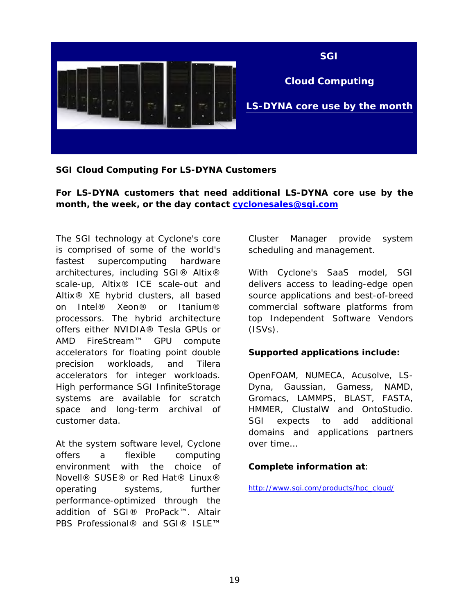![](_page_18_Picture_0.jpeg)

**SGI Cloud Computing For LS-DYNA Customers** 

**For LS-DYNA customers that need additional LS-DYNA core use by the month, the week, or the day contact [cyclonesales@sgi.com](mailto:cyclonesales@sgi.com)**

The SGI technology at Cyclone's core is comprised of some of the world's fastest supercomputing hardware architectures, including SGI® Altix® scale-up, Altix® ICE scale-out and Altix® XE hybrid clusters, all based on Intel® Xeon® or Itanium® processors. The hybrid architecture offers either NVIDIA® Tesla GPUs or AMD FireStream™ GPU compute accelerators for floating point double precision workloads, and Tilera accelerators for integer workloads. High performance SGI InfiniteStorage systems are available for scratch space and long-term archival of customer data.

At the system software level, Cyclone offers a flexible computing environment with the choice of Novell® SUSE® or Red Hat® Linux® operating systems, further performance-optimized through the addition of SGI® ProPack™. Altair PBS Professional® and SGI® ISLE™

Cluster Manager provide system scheduling and management.

With Cyclone's SaaS model, SGI delivers access to leading-edge open source applications and best-of-breed commercial software platforms from top Independent Software Vendors  $(ISVs)$ .

#### **Supported applications include:**

OpenFOAM, NUMECA, Acusolve, LS-Dyna, Gaussian, Gamess, NAMD, Gromacs, LAMMPS, BLAST, FASTA, HMMER, ClustalW and OntoStudio. SGI expects to add additional domains and applications partners over time…

#### **Complete information at**:

[http://www.sgi.com/products/hpc\\_cloud/](http://www.sgi.com/products/hpc_cloud/)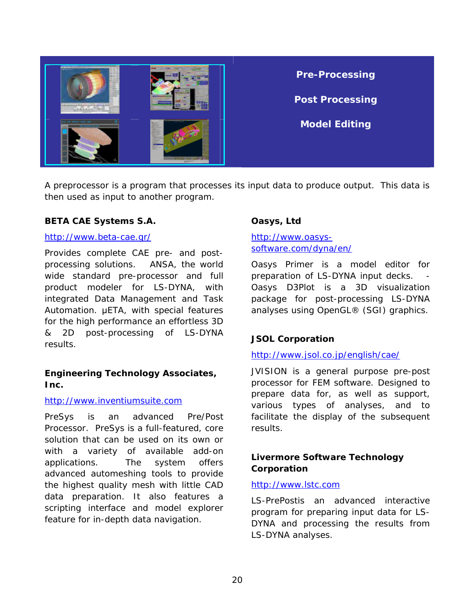![](_page_19_Picture_0.jpeg)

A preprocessor is a program that processes its input data to produce output. This data is then used as input to another program.

#### **BETA CAE Systems S.A.**

#### <http://www.beta-cae.gr/>

Provides complete CAE pre- and postprocessing solutions. ANSA, the world wide standard pre-processor and full product modeler for LS-DYNA, with integrated Data Management and Task Automation. μETA, with special features for the high performance an effortless 3D & 2D post-processing of LS-DYNA results.

#### **Engineering Technology Associates, Inc.**

#### [http://www.inventiumsuite.com](http://www.inventiumsuite.com/)

PreSys is an advanced Pre/Post Processor. PreSys is a full-featured, core solution that can be used on its own or with a variety of available add-on applications. The system offers advanced automeshing tools to provide the highest quality mesh with little CAD data preparation. It also features a scripting interface and model explorer feature for in-depth data navigation.

#### **Oasys, Ltd**

#### [http://www.oasys](http://www.oasys-software.com/dyna/en/)[software.com/dyna/en/](http://www.oasys-software.com/dyna/en/)

Oasys Primer is a model editor for preparation of LS-DYNA input decks. Oasys D3Plot is a 3D visualization package for post-processing LS-DYNA analyses using OpenGL® (SGI) graphics.

#### **JSOL Corporation**

#### <http://www.jsol.co.jp/english/cae/>

JVISION is a general purpose pre-post processor for FEM software. Designed to prepare data for, as well as support, various types of analyses, and to facilitate the display of the subsequent results.

#### **Livermore Software Technology Corporation**

#### [http://www.lstc.com](http://www.lstc.com/)

LS-PrePostis an advanced interactive program for preparing input data for LS-DYNA and processing the results from LS-DYNA analyses.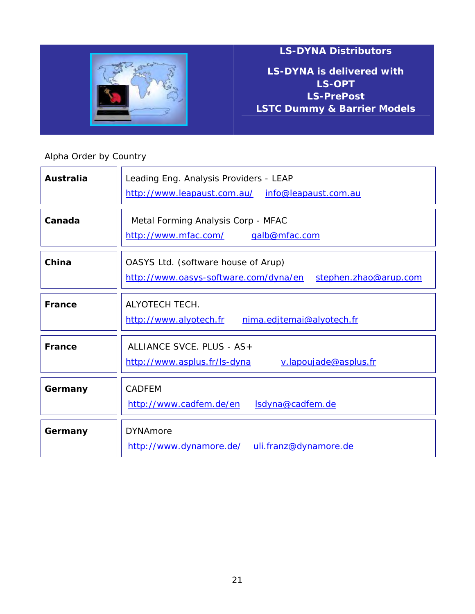![](_page_20_Picture_0.jpeg)

**LS-DYNA is delivered with LS-OPT LS-PrePost LSTC Dummy & Barrier Models**

### Alpha Order by Country

| <b>Australia</b> | Leading Eng. Analysis Providers - LEAP<br>http://www.leapaust.com.au/ info@leapaust.com.au            |  |  |
|------------------|-------------------------------------------------------------------------------------------------------|--|--|
| Canada           | Metal Forming Analysis Corp - MFAC<br><u>http://www.mfac.com/</u><br>galb@mfac.com                    |  |  |
| China            | OASYS Ltd. (software house of Arup)<br>http://www.oasys-software.com/dyna/en<br>stephen.zhao@arup.com |  |  |
| <b>France</b>    | ALYOTECH TECH.<br>http://www.alyotech.fr<br>nima.edjtemai@alyotech.fr                                 |  |  |
| France           | ALLIANCE SVCE. PLUS - AS+<br>http://www.asplus.fr/ls-dyna<br>v.lapoujade@asplus.fr                    |  |  |
| Germany          | <b>CADFEM</b><br>http://www.cadfem.de/en<br><u>Isdyna@cadfem.de</u>                                   |  |  |
| Germany          | <b>DYNAmore</b><br>http://www.dynamore.de/ uli.franz@dynamore.de                                      |  |  |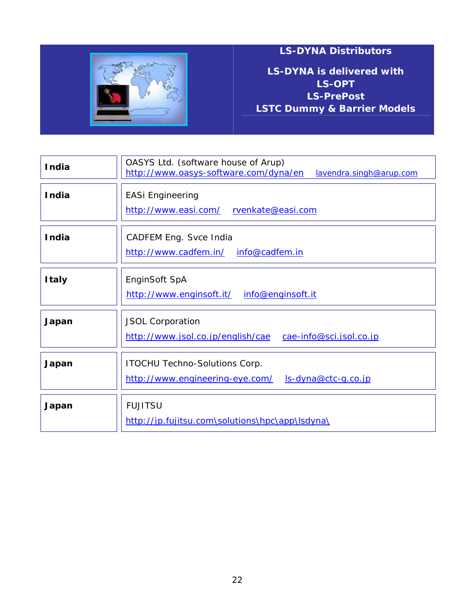![](_page_21_Picture_0.jpeg)

**LS-DYNA is delivered with LS-OPT LS-PrePost LSTC Dummy & Barrier Models**

| <b>India</b> | OASYS Ltd. (software house of Arup)<br>http://www.oasys-software.com/dyna/en<br>lavendra.singh@arup.com |  |  |
|--------------|---------------------------------------------------------------------------------------------------------|--|--|
| <b>India</b> | <b>EASi Engineering</b><br>http://www.easi.com/<br>rvenkate@easi.com                                    |  |  |
| <b>India</b> | CADFEM Eng. Svce India<br>info@cadfem.in<br>http://www.cadfem.in/                                       |  |  |
| <b>Italy</b> | EnginSoft SpA<br>http://www.enginsoft.it/<br>info@enginsoft.it                                          |  |  |
| Japan        | <b>JSOL Corporation</b><br>http://www.jsol.co.jp/english/cae<br>cae-info@sci.jsol.co.jp                 |  |  |
| Japan        | <b>ITOCHU Techno-Solutions Corp.</b><br>http://www.engineering-eye.com/<br><u>ls-dyna@ctc-g.co.jp</u>   |  |  |
| Japan        | <b>FUJITSU</b><br>http://jp.fujitsu.com\solutions\hpc\app\lsdyna\                                       |  |  |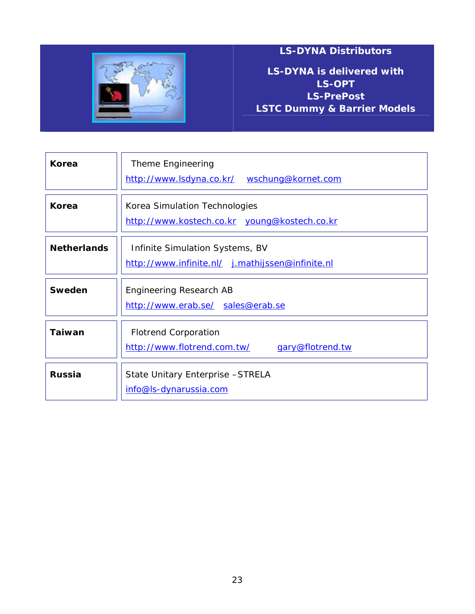![](_page_22_Picture_0.jpeg)

**LS-DYNA is delivered with LS-OPT LS-PrePost LSTC Dummy & Barrier Models**

| Korea              | Theme Engineering<br>http://www.lsdyna.co.kr/ wschung@kornet.com                    |  |
|--------------------|-------------------------------------------------------------------------------------|--|
| Korea              | Korea Simulation Technologies<br>http://www.kostech.co.kr young@kostech.co.kr       |  |
| <b>Netherlands</b> | Infinite Simulation Systems, BV<br>http://www.infinite.nl/ j.mathijssen@infinite.nl |  |
| <b>Sweden</b>      | Engineering Research AB<br>http://www.erab.se/ sales@erab.se                        |  |
| <b>Taiwan</b>      | <b>Flotrend Corporation</b><br>http://www.flotrend.com.tw/<br>gary@flotrend.tw      |  |
| <b>Russia</b>      | State Unitary Enterprise - STRELA<br>info@ls-dynarussia.com                         |  |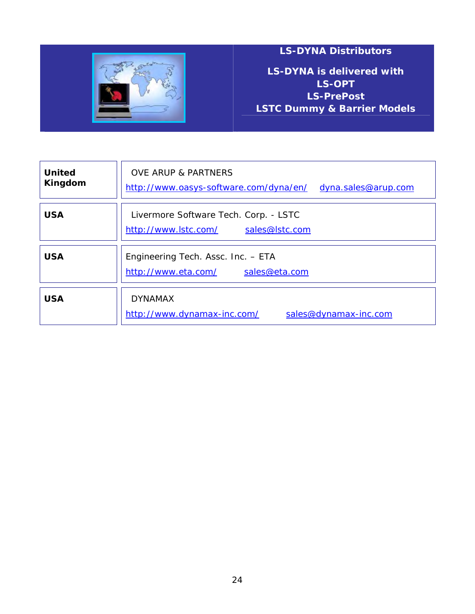![](_page_23_Picture_0.jpeg)

**LS-DYNA is delivered with LS-OPT LS-PrePost LSTC Dummy & Barrier Models**

| <b>United</b><br>Kingdom | <b>OVE ARUP &amp; PARTNERS</b><br>http://www.oasys-software.com/dyna/en/<br>dyna.sales@arup.com |
|--------------------------|-------------------------------------------------------------------------------------------------|
| <b>USA</b>               | Livermore Software Tech. Corp. - LSTC<br>http://www.lstc.com/<br>sales@lstc.com                 |
| <b>USA</b>               | Engineering Tech. Assc. Inc. - ETA<br>http://www.eta.com/<br>sales@eta.com                      |
| <b>USA</b>               | <b>DYNAMAX</b><br>http://www.dynamax-inc.com/<br>sales@dynamax-inc.com                          |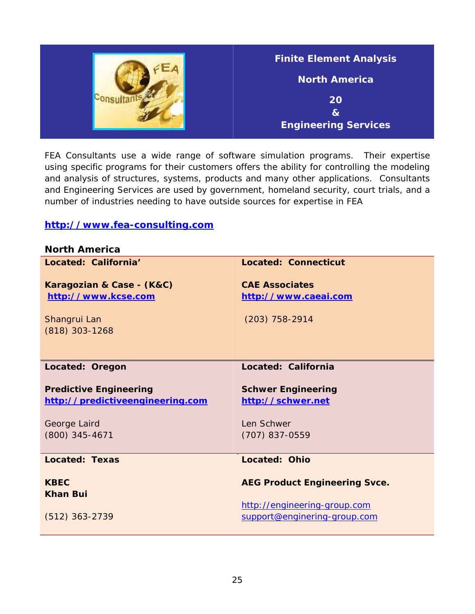| <b>Finite Element Analysis</b> |
|--------------------------------|
| <b>North America</b>           |
| 20                             |
| $\bf{8}$                       |
| <b>Engineering Services</b>    |

FEA Consultants use a wide range of software simulation programs. Their expertise using specific programs for their customers offers the ability for controlling the modeling and analysis of structures, systems, products and many other applications. Consultants and Engineering Services are used by government, homeland security, court trials, and a number of industries needing to have outside sources for expertise in FEA

#### **[http://www.fea-consulting.com](http://www.fea-consulting.com/)**

| <b>North America</b>             |                                      |
|----------------------------------|--------------------------------------|
| Located: California'             | <b>Located: Connecticut</b>          |
|                                  | <b>CAF Associates</b>                |
| Karagozian & Case - (K&C)        |                                      |
| http://www.kcse.com              | http://www.caeai.com                 |
| Shangrui Lan                     | $(203)$ 758-2914                     |
| $(818)$ 303-1268                 |                                      |
|                                  |                                      |
|                                  |                                      |
|                                  |                                      |
| Located: Oregon                  | Located: California                  |
|                                  |                                      |
|                                  |                                      |
| <b>Predictive Engineering</b>    | <b>Schwer Engineering</b>            |
| http://predictiveengineering.com | http://schwer.net                    |
|                                  |                                      |
| George Laird                     | Len Schwer                           |
| (800) 345-4671                   | (707) 837-0559                       |
|                                  |                                      |
| <b>Located: Texas</b>            | <b>Located: Ohio</b>                 |
|                                  |                                      |
| <b>KBFC</b>                      | <b>AEG Product Engineering Svce.</b> |
| <b>Khan Bui</b>                  |                                      |
|                                  | http://engineering-group.com         |
| $(512)$ 363-2739                 | support@enginering-group.com         |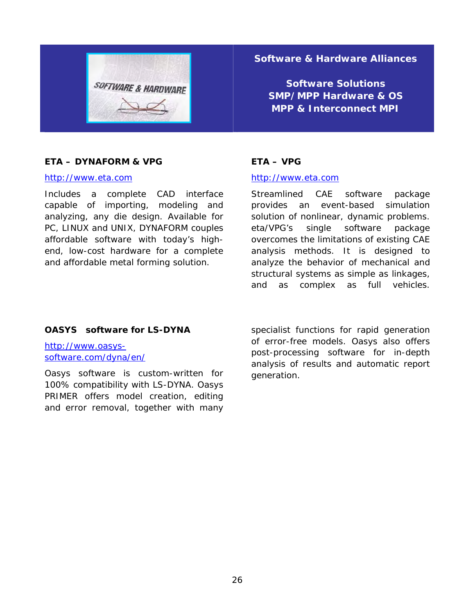![](_page_25_Picture_0.jpeg)

#### **Software & Hardware Alliances**

**Software Solutions SMP/MPP Hardware & OS MPP & Interconnect MPI**

#### **ETA – DYNAFORM & VPG**

#### [http://www.eta.com](http://www.eta.com/)

Includes a complete CAD interface capable of importing, modeling and analyzing, any die design. Available for PC, LINUX and UNIX, DYNAFORM couples affordable software with today's highend, low-cost hardware for a complete and affordable metal forming solution.

#### **ETA – VPG**

#### [http://www.eta.com](http://www.eta.com/)

Streamlined CAE software package provides an event-based simulation solution of nonlinear, dynamic problems. eta/VPG's single software package overcomes the limitations of existing CAE analysis methods. It is designed to analyze the behavior of mechanical and structural systems as simple as linkages, and as complex as full vehicles.

#### **OASYS software for LS-DYNA**

[http://www.oasys](http://www.oasys-software.com/dyna/en/)[software.com/dyna/en/](http://www.oasys-software.com/dyna/en/) 

Oasys software is custom-written for 100% compatibility with LS-DYNA. Oasys PRIMER offers model creation, editing and error removal, together with many

specialist functions for rapid generation of error-free models. Oasys also offers post-processing software for in-depth analysis of results and automatic report generation.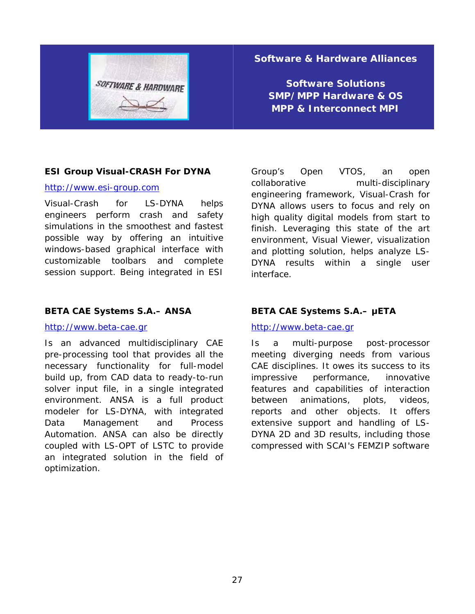![](_page_26_Picture_0.jpeg)

#### **Software & Hardware Alliances**

**Software Solutions SMP/MPP Hardware & OS MPP & Interconnect MPI**

#### **ESI Group Visual-CRASH For DYNA**

#### [http://www.esi-group.com](http://www.esi-group.com/)

Visual-Crash for LS-DYNA helps engineers perform crash and safety simulations in the smoothest and fastest possible way by offering an intuitive windows-based graphical interface with customizable toolbars and complete session support. Being integrated in ESI

#### **BETA CAE Systems S.A.– ANSA**

#### [http://www.beta-cae.gr](http://www.beta-cae.gr/)

Is an advanced multidisciplinary CAE pre-processing tool that provides all the necessary functionality for full-model build up, from CAD data to ready-to-run solver input file, in a single integrated environment. ANSA is a full product modeler for LS-DYNA, with integrated Data Management and Process Automation. ANSA can also be directly coupled with LS-OPT of LSTC to provide an integrated solution in the field of optimization.

Group's Open VTOS, an open collaborative multi-disciplinary engineering framework, Visual-Crash for DYNA allows users to focus and rely on high quality digital models from start to finish. Leveraging this state of the art environment, Visual Viewer, visualization and plotting solution, helps analyze LS-DYNA results within a single user interface.

#### **BETA CAE Systems S.A.– μETA**

#### [http://www.beta-cae.gr](http://www.beta-cae.gr/)

Is a multi-purpose post-processor meeting diverging needs from various CAE disciplines. It owes its success to its impressive performance, innovative features and capabilities of interaction between animations, plots, videos, reports and other objects. It offers extensive support and handling of LS-DYNA 2D and 3D results, including those compressed with SCAI's FEMZIP software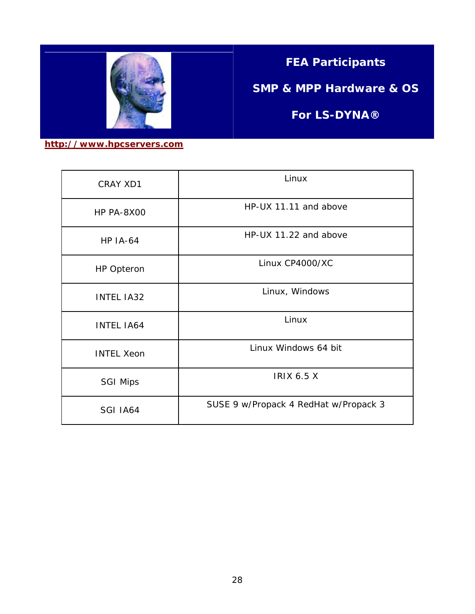![](_page_27_Picture_0.jpeg)

### **FEA Participants**

**SMP & MPP Hardware & OS** 

**For LS-DYNA®**

**[http://www.hpcservers.com](http://www.hpcservers.com/)**

| CRAY XD1          | Linux                                 |  |
|-------------------|---------------------------------------|--|
| HP PA-8X00        | HP-UX 11.11 and above                 |  |
| <b>HP IA-64</b>   | HP-UX 11.22 and above                 |  |
| <b>HP Opteron</b> | Linux CP4000/XC                       |  |
| <b>INTEL IA32</b> | Linux, Windows                        |  |
| <b>INTEL IA64</b> | Linux                                 |  |
| <b>INTEL Xeon</b> | Linux Windows 64 bit                  |  |
| <b>SGI Mips</b>   | <b>IRIX 6.5 X</b>                     |  |
| SGI IA64          | SUSE 9 w/Propack 4 RedHat w/Propack 3 |  |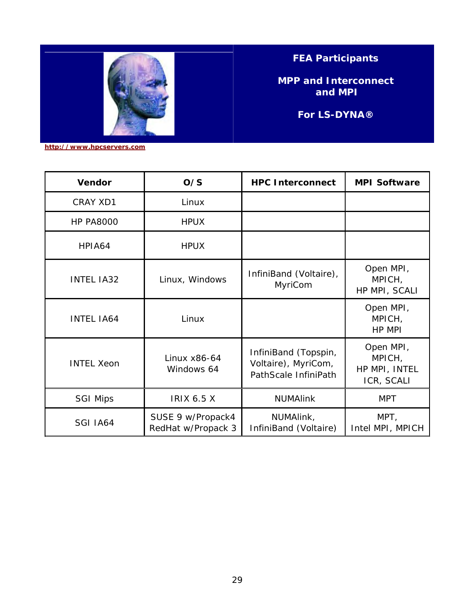![](_page_28_Picture_0.jpeg)

**FEA Participants** 

**MPP and Interconnect and MPI** 

**For LS-DYNA®**

**[http://www.hpcservers.com](http://www.hpcservers.com/)**

ŕ

| <b>Vendor</b>     | O/S                                     | <b>HPC Interconnect</b>                                             | <b>MPI Software</b>                                |
|-------------------|-----------------------------------------|---------------------------------------------------------------------|----------------------------------------------------|
| CRAY XD1          | Linux                                   |                                                                     |                                                    |
| <b>HP PA8000</b>  | <b>HPUX</b>                             |                                                                     |                                                    |
| HPIA64            | <b>HPUX</b>                             |                                                                     |                                                    |
| <b>INTEL IA32</b> | Linux, Windows                          | InfiniBand (Voltaire),<br>MyriCom                                   | Open MPI,<br>MPICH,<br>HP MPI, SCALI               |
| <b>INTEL IA64</b> | Linux                                   |                                                                     | Open MPI,<br>MPICH,<br>HP MPI                      |
| <b>INTEL Xeon</b> | Linux x86-64<br>Windows 64              | InfiniBand (Topspin,<br>Voltaire), MyriCom,<br>PathScale InfiniPath | Open MPI,<br>MPICH,<br>HP MPI, INTEL<br>ICR, SCALI |
| <b>SGI Mips</b>   | <b>IRIX 6.5 X</b>                       | <b>NUMAlink</b>                                                     | <b>MPT</b>                                         |
| SGI IA64          | SUSE 9 w/Propack4<br>RedHat w/Propack 3 | NUMAlink,<br>InfiniBand (Voltaire)                                  | MPT,<br>Intel MPI, MPICH                           |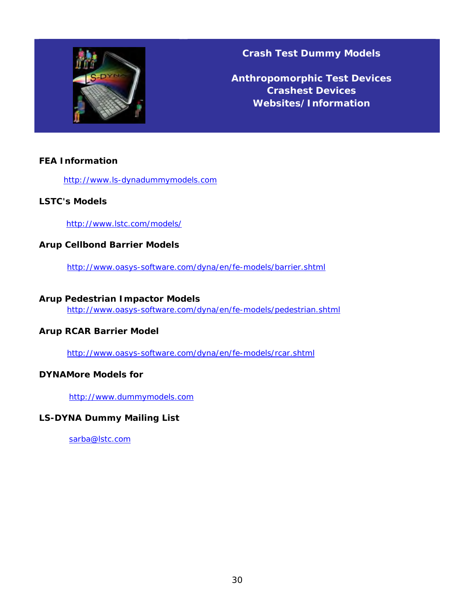![](_page_29_Picture_0.jpeg)

**Crash Test Dummy Models** 

**Anthropomorphic Test Devices Crashest Devices Websites/Information**

#### **FEA Information**

[http://www.ls-dynadummymodels.com](http://www.ls-dynadummymodels.com/) 

#### **LSTC's Models**

<http://www.lstc.com/models/>

#### **Arup Cellbond Barrier Models**

<http://www.oasys-software.com/dyna/en/fe-models/barrier.shtml>

#### **Arup Pedestrian Impactor Models**

<http://www.oasys-software.com/dyna/en/fe-models/pedestrian.shtml>

#### **Arup RCAR Barrier Model**

<http://www.oasys-software.com/dyna/en/fe-models/rcar.shtml>

#### **DYNAMore Models for**

[http://www.dummymodels.com](http://www.dummymodels.com/) 

#### **LS-DYNA Dummy Mailing List**

[sarba@lstc.com](mailto:sarba@lstc.com)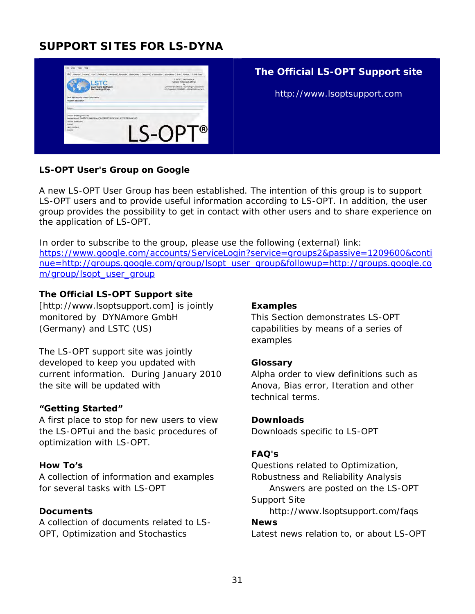### **SUPPORT SITES FOR LS-DYNA**

![](_page_30_Picture_1.jpeg)

#### **The Official LS-OPT Support site**

http://www.lsoptsupport.com

#### **LS-OPT User's Group on Google**

A new LS-OPT User Group has been established. The intention of this group is to support LS-OPT users and to provide useful information according to LS-OPT. In addition, the user group provides the possibility to get in contact with other users and to share experience on the application of LS-OPT.

In order to subscribe to the group, please use the following (external) link: [https://www.google.com/accounts/ServiceLogin?service=groups2&passive=1209600&conti](https://www.google.com/accounts/ServiceLogin?service=groups2&passive=1209600&continue=http://groups.google.com/group/lsopt_user_group&followup=http://groups.google.com/group/lsopt_user_group) [nue=http://groups.google.com/group/lsopt\\_user\\_group&followup=http://groups.google.co](https://www.google.com/accounts/ServiceLogin?service=groups2&passive=1209600&continue=http://groups.google.com/group/lsopt_user_group&followup=http://groups.google.com/group/lsopt_user_group) [m/group/lsopt\\_user\\_group](https://www.google.com/accounts/ServiceLogin?service=groups2&passive=1209600&continue=http://groups.google.com/group/lsopt_user_group&followup=http://groups.google.com/group/lsopt_user_group) 

#### **The Official LS-OPT Support site**

[http://www.lsoptsupport.com] is jointly monitored by DYNAmore GmbH (Germany) and LSTC (US)

The LS-OPT support site was jointly developed to keep you updated with current information. During January 2010 the site will be updated with

#### **"Getting Started"**

A first place to stop for new users to view the LS-OPTui and the basic procedures of optimization with LS-OPT.

#### **How To's**

A collection of information and examples for several tasks with LS-OPT

#### **Documents**

A collection of documents related to LS-OPT, Optimization and Stochastics

#### **Examples**

This Section demonstrates LS-OPT capabilities by means of a series of examples

#### **Glossary**

Alpha order to view definitions such as Anova, Bias error, Iteration and other technical terms.

#### **Downloads**

Downloads specific to LS-OPT

#### **FAQ's**

Questions related to Optimization, Robustness and Reliability Analysis Answers are posted on the LS-OPT Support Site http://www.lsoptsupport.com/faqs **News** 

Latest news relation to, or about LS-OPT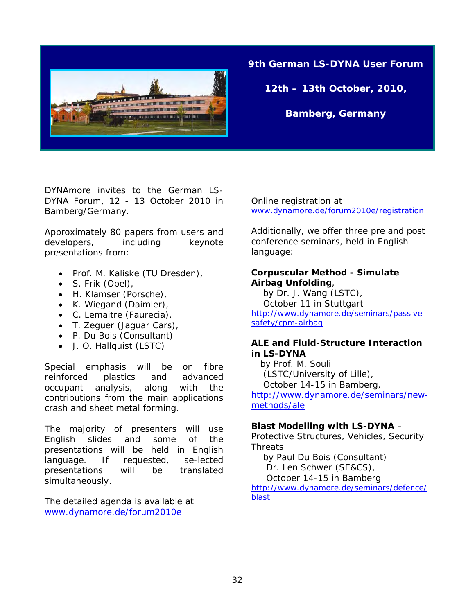![](_page_31_Picture_0.jpeg)

**9th German LS-DYNA User Forum** 

**12th – 13th October, 2010,** 

**Bamberg, Germany** 

DYNAmore invites to the German LS-DYNA Forum, 12 - 13 October 2010 in Bamberg/Germany.

Approximately 80 papers from users and developers, including keynote presentations from:

- Prof. M. Kaliske (TU Dresden),
- S. Frik (Opel),
- H. Klamser (Porsche),
- K. Wiegand (Daimler),
- C. Lemaitre (Faurecia),
- T. Zeguer (Jaguar Cars),
- P. Du Bois (Consultant)
- J. O. Hallquist (LSTC)

Special emphasis will be on fibre reinforced plastics and advanced occupant analysis, along with the contributions from the main applications crash and sheet metal forming.

The majority of presenters will use English slides and some of the presentations will be held in English language. If requested, se-lected presentations will be translated simultaneously.

The detailed agenda is available at [www.dynamore.de/forum2010e](http://www.dynamore.de/forum2010e)

Online registration at [www.dynamore.de/forum2010e/registration](http://www.dynamore.de/forum2010e/registration) 

Additionally, we offer three pre and post conference seminars, held in English language:

#### **Corpuscular Method - Simulate Airbag Unfolding**,

 by Dr. J. Wang (LSTC), October 11 in Stuttgart [http://www.dynamore.de/seminars/passive](http://www.dynamore.de/seminars/passive-safety/cpm-airbag)[safety/cpm-airbag](http://www.dynamore.de/seminars/passive-safety/cpm-airbag)

#### **ALE and Fluid-Structure Interaction in LS-DYNA**

 by Prof. M. Souli (LSTC/University of Lille), October 14-15 in Bamberg,

[http://www.dynamore.de/seminars/new](http://www.dynamore.de/seminars/new-methods/ale)[methods/ale](http://www.dynamore.de/seminars/new-methods/ale) 

#### **Blast Modelling with LS-DYNA** –

Protective Structures, Vehicles, Security **Threats** 

 by Paul Du Bois (Consultant) Dr. Len Schwer (SE&CS),

October 14-15 in Bamberg

[http://www.dynamore.de/seminars/defence/](http://www.dynamore.de/seminars/defence/blast) [blast](http://www.dynamore.de/seminars/defence/blast)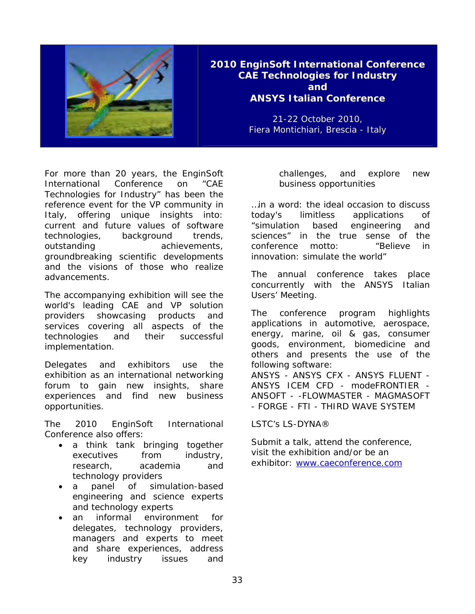![](_page_32_Picture_0.jpeg)

#### **2010 EnginSoft International Conference CAE Technologies for Industry and ANSYS Italian Conference**

21-22 October 2010, Fiera Montichiari, Brescia - Italy

For more than 20 years, the EnginSoft International Conference on "CAE Technologies for Industry" has been the reference event for the VP community in Italy, offering unique insights into: current and future values of software technologies, background trends, outstanding achievements, groundbreaking scientific developments and the visions of those who realize advancements.

The accompanying exhibition will see the world's leading CAE and VP solution providers showcasing products and services covering all aspects of the technologies and their successful implementation.

Delegates and exhibitors use the exhibition as an international networking forum to gain new insights, share experiences and find new business opportunities.

The 2010 EnginSoft International Conference also offers:

- a think tank bringing together executives from industry, research, academia and technology providers
- a panel of simulation-based engineering and science experts and technology experts
- an informal environment for delegates, technology providers, managers and experts to meet and share experiences, address key industry issues and

challenges, and explore new business opportunities

…in a word: the ideal occasion to discuss today's limitless applications of "simulation based engineering and sciences" in the true sense of the conference motto: "Believe in innovation: simulate the world"

The annual conference takes place concurrently with the ANSYS Italian Users' Meeting.

The conference program highlights applications in automotive, aerospace, energy, marine, oil & gas, consumer goods, environment, biomedicine and others and presents the use of the following software: ANSYS - ANSYS CFX - ANSYS FLUENT -

ANSYS ICEM CFD - modeFRONTIER - ANSOFT - -FLOWMASTER - MAGMASOFT - FORGE - FTI - THIRD WAVE SYSTEM

#### LSTC's LS-DYNA®

Submit a talk, attend the conference, visit the exhibition and/or be an exhibitor: [www.caeconference.com](http://www.caeconference.com/)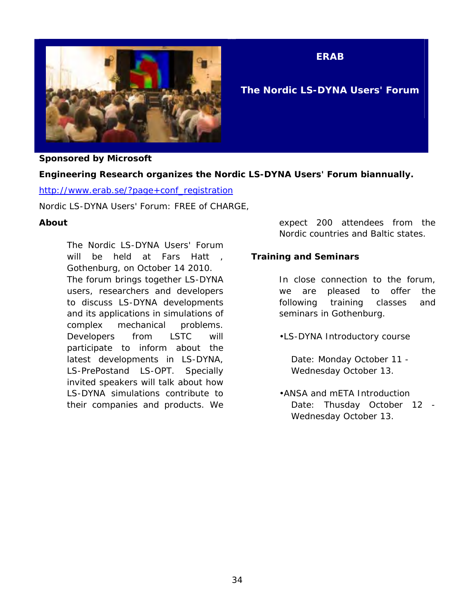![](_page_33_Picture_0.jpeg)

**ERAB** 

#### **The Nordic LS-DYNA Users' Forum**

#### **Sponsored by Microsoft**

#### **Engineering Research organizes the Nordic LS-DYNA Users' Forum biannually.**

[http://www.erab.se/?page+conf\\_registration](http://www.erab.se/?page+conf_registration)

Nordic LS-DYNA Users' Forum: FREE of CHARGE,

#### **About**

The Nordic LS-DYNA Users' Forum will be held at Fars Hatt , Gothenburg, on October 14 2010. The forum brings together LS-DYNA users, researchers and developers to discuss LS-DYNA developments and its applications in simulations of complex mechanical problems. Developers from LSTC will participate to inform about the latest developments in LS-DYNA, LS-PrePostand LS-OPT. Specially invited speakers will talk about how LS-DYNA simulations contribute to their companies and products. We

expect 200 attendees from the Nordic countries and Baltic states.

#### **Training and Seminars**

In close connection to the forum, we are pleased to offer the following training classes and seminars in Gothenburg.

•LS-DYNA Introductory course

 Date: Monday October 11 - Wednesday October 13.

•ANSA and mETA Introduction Date: Thusday October 12 -Wednesday October 13.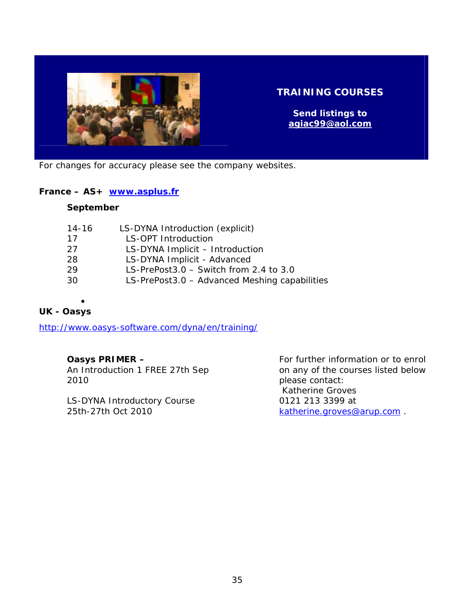![](_page_34_Picture_0.jpeg)

#### **TRAINING COURSES**

**Send listings to [agiac99@aol.com](mailto:agiac99@aol.com)** 

For changes for accuracy please see the company websites.

#### **France – AS+ [www.asplus.fr](http://www.asplus.fr/)**

#### **September**

| LS-DYNA Introduction (explicit)               |
|-----------------------------------------------|
| <b>LS-OPT Introduction</b>                    |
| LS-DYNA Implicit - Introduction               |
| LS-DYNA Implicit - Advanced                   |
| LS-PrePost3.0 - Switch from 2.4 to 3.0        |
| LS-PrePost3.0 - Advanced Meshing capabilities |
|                                               |

 $\bullet$ **UK - Oasys** 

<http://www.oasys-software.com/dyna/en/training/>

#### **Oasys PRIMER –**

An Introduction 1 FREE 27th Sep 2010

LS-DYNA Introductory Course 25th-27th Oct 2010

For further information or to enrol on any of the courses listed below please contact: Katherine Groves 0121 213 3399 at [katherine.groves@arup.com](mailto:katherine.groves@arup.com) .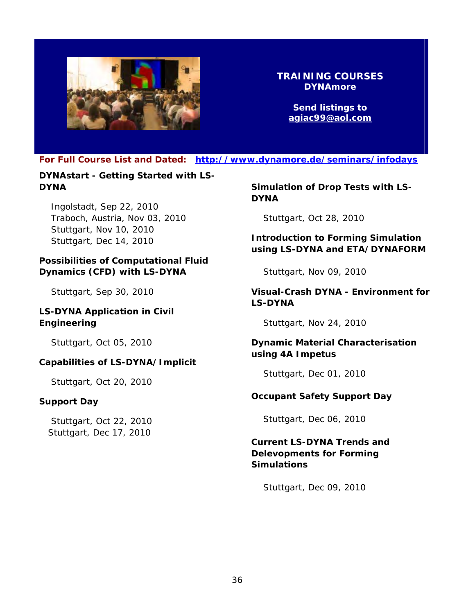![](_page_35_Picture_0.jpeg)

#### **TRAINING COURSES DYNAmore**

**Send listings to [agiac99@aol.com](mailto:agiac99@aol.com)** 

**For Full Course List and Dated: <http://www.dynamore.de/seminars/infodays>** 

**DYNAstart - Getting Started with LS-DYNA** 

 Ingolstadt, Sep 22, 2010 Traboch, Austria, Nov 03, 2010 Stuttgart, Nov 10, 2010 Stuttgart, Dec 14, 2010

#### **Possibilities of Computational Fluid Dynamics (CFD) with LS-DYNA**

Stuttgart, Sep 30, 2010

#### **LS-DYNA Application in Civil Engineering**

Stuttgart, Oct 05, 2010

#### **Capabilities of LS-DYNA/Implicit**

Stuttgart, Oct 20, 2010

#### **Support Day**

 Stuttgart, Oct 22, 2010 Stuttgart, Dec 17, 2010

**Simulation of Drop Tests with LS-DYNA** 

Stuttgart, Oct 28, 2010

**Introduction to Forming Simulation using LS-DYNA and ETA/DYNAFORM** 

Stuttgart, Nov 09, 2010

#### **Visual-Crash DYNA - Environment for LS-DYNA**

Stuttgart, Nov 24, 2010

**Dynamic Material Characterisation using 4A Impetus** 

Stuttgart, Dec 01, 2010

#### **Occupant Safety Support Day**

Stuttgart, Dec 06, 2010

#### **Current LS-DYNA Trends and Delevopments for Forming Simulations**

Stuttgart, Dec 09, 2010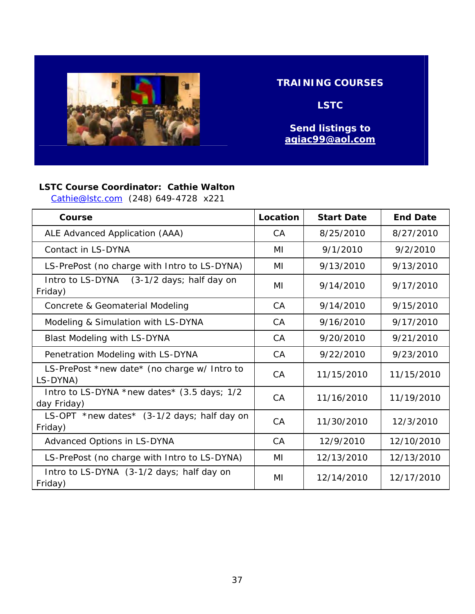![](_page_36_Picture_0.jpeg)

#### **TRAINING COURSES**

**LSTC** 

**Send listings to [agiac99@aol.com](mailto:agiac99@aol.com)** 

#### **LSTC Course Coordinator: Cathie Walton**

[Cathie@lstc.com](mailto:Cathie@lstc.com) (248) 649-4728 x221

| Course                                                     | Location  | <b>Start Date</b> | <b>End Date</b> |
|------------------------------------------------------------|-----------|-------------------|-----------------|
| ALE Advanced Application (AAA)                             | CA        | 8/25/2010         | 8/27/2010       |
| Contact in LS-DYNA                                         | MI        | 9/1/2010          | 9/2/2010        |
| LS-PrePost (no charge with Intro to LS-DYNA)               | MI        | 9/13/2010         | 9/13/2010       |
| Intro to LS-DYNA<br>(3-1/2 days; half day on<br>Friday)    | MI        | 9/14/2010         | 9/17/2010       |
| Concrete & Geomaterial Modeling                            | <b>CA</b> | 9/14/2010         | 9/15/2010       |
| Modeling & Simulation with LS-DYNA                         | CA        | 9/16/2010         | 9/17/2010       |
| <b>Blast Modeling with LS-DYNA</b>                         | <b>CA</b> | 9/20/2010         | 9/21/2010       |
| Penetration Modeling with LS-DYNA                          | <b>CA</b> | 9/22/2010         | 9/23/2010       |
| LS-PrePost *new date* (no charge w/ Intro to<br>LS-DYNA)   | CA        | 11/15/2010        | 11/15/2010      |
| Intro to LS-DYNA *new dates* (3.5 days; 1/2<br>day Friday) | CA        | 11/16/2010        | 11/19/2010      |
| LS-OPT *new dates* (3-1/2 days; half day on<br>Friday)     | CA        | 11/30/2010        | 12/3/2010       |
| Advanced Options in LS-DYNA                                | <b>CA</b> | 12/9/2010         | 12/10/2010      |
| LS-PrePost (no charge with Intro to LS-DYNA)               | MI        | 12/13/2010        | 12/13/2010      |
| Intro to LS-DYNA (3-1/2 days; half day on<br>Friday)       | MI        | 12/14/2010        | 12/17/2010      |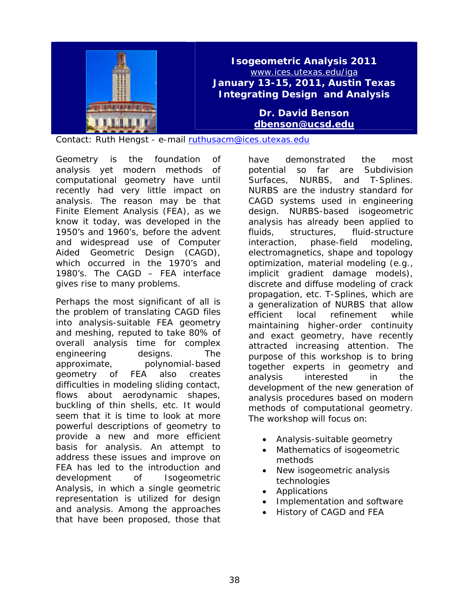![](_page_37_Picture_0.jpeg)

Contact: Ruth Hengst - e-mail [ruthusacm@ices.utexas.edu](mailto:ruthusacm@ices.utexas.edu)

Geometry is the foundation of analysis yet modern methods of computational geometry have until recently had very little impact on analysis. The reason may be that Finite Element Analysis (FEA), as we know it today, was developed in the 1950's and 1960's, before the advent and widespread use of Computer Aided Geometric Design (CAGD), which occurred in the 1970's and 1980's. The CAGD – FEA interface gives rise to many problems.

Perhaps the most significant of all is the problem of translating CAGD files into analysis-suitable FEA geometry and meshing, reputed to take 80% of overall analysis time for complex engineering designs. The approximate, polynomial-based geometry of FEA also creates difficulties in modeling sliding contact, flows about aerodynamic shapes, buckling of thin shells, etc. It would seem that it is time to look at more powerful descriptions of geometry to provide a new and more efficient basis for analysis. An attempt to address these issues and improve on FEA has led to the introduction and development of Isogeometric Analysis, in which a single geometric representation is utilized for design and analysis. Among the approaches that have been proposed, those that

have demonstrated the most potential so far are Subdivision Surfaces, NURBS, and T-Splines. NURBS are the industry standard for CAGD systems used in engineering design. NURBS-based isogeometric analysis has already been applied to fluids, structures, fluid-structure interaction, phase-field modeling, electromagnetics, shape and topology optimization, material modeling (e.g., implicit gradient damage models), discrete and diffuse modeling of crack propagation, etc. T-Splines, which are a generalization of NURBS that allow efficient local refinement while maintaining higher-order continuity and exact geometry, have recently attracted increasing attention. The purpose of this workshop is to bring together experts in geometry and analysis interested in the development of the new generation of analysis procedures based on modern methods of computational geometry. The workshop will focus on:

- Analysis-suitable geometry
- Mathematics of isogeometric methods
- New isogeometric analysis technologies
- Applications
- Implementation and software
- History of CAGD and FEA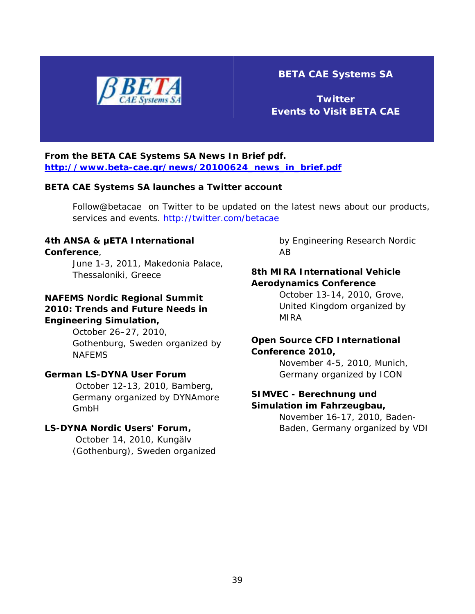![](_page_38_Picture_0.jpeg)

#### **BETA CAE Systems SA**

**Twitter Events to Visit BETA CAE** 

#### **From the BETA CAE Systems SA News In Brief pdf. [http://www.beta-cae.gr/news/20100624\\_news\\_in\\_brief.pdf](http://www.beta-cae.gr/news/20100624_news_in_brief.pdf)**

#### **BETA CAE Systems SA launches a Twitter account**

Follow@betacae on Twitter to be updated on the latest news about our products, services and events. <http://twitter.com/betacae>

#### **4th ANSA & μETA International Conference**,

June 1-3, 2011, Makedonia Palace, Thessaloniki, Greece

#### **NAFEMS Nordic Regional Summit 2010: Trends and Future Needs in Engineering Simulation,**

October 26–27, 2010, Gothenburg, Sweden organized by NAFEMS

#### **German LS-DYNA User Forum**

October 12-13, 2010, Bamberg, Germany organized by DYNAmore GmbH

#### **LS-DYNA Nordic Users' Forum,**

 October 14, 2010, Kungälv (Gothenburg), Sweden organized by Engineering Research Nordic AB

#### **8th MIRA International Vehicle Aerodynamics Conference**

October 13-14, 2010, Grove, United Kingdom organized by MIRA

#### **Open Source CFD International Conference 2010,**

November 4-5, 2010, Munich, Germany organized by ICON

#### **SIMVEC - Berechnung und Simulation im Fahrzeugbau,**

November 16-17, 2010, Baden-Baden, Germany organized by VDI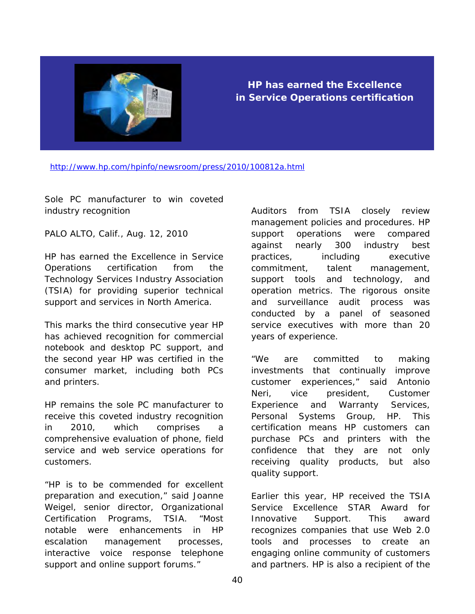![](_page_39_Picture_0.jpeg)

#### **HP has earned the Excellence in Service Operations certification**

<http://www.hp.com/hpinfo/newsroom/press/2010/100812a.html>

Sole PC manufacturer to win coveted industry recognition

PALO ALTO, Calif., Aug. 12, 2010

HP has earned the Excellence in Service Operations certification from the Technology Services Industry Association (TSIA) for providing superior technical support and services in North America.

This marks the third consecutive year HP has achieved recognition for commercial notebook and desktop PC support, and the second year HP was certified in the consumer market, including both PCs and printers.

HP remains the sole PC manufacturer to receive this coveted industry recognition in 2010, which comprises a comprehensive evaluation of phone, field service and web service operations for customers.

"HP is to be commended for excellent preparation and execution," said Joanne Weigel, senior director, Organizational Certification Programs, TSIA. "Most notable were enhancements in HP escalation management processes, interactive voice response telephone support and online support forums."

Auditors from TSIA closely review management policies and procedures. HP support operations were compared against nearly 300 industry best practices, including executive commitment, talent management, support tools and technology, and operation metrics. The rigorous onsite and surveillance audit process was conducted by a panel of seasoned service executives with more than 20 years of experience.

"We are committed to making investments that continually improve customer experiences," said Antonio Neri, vice president, Customer Experience and Warranty Services, Personal Systems Group, HP. This certification means HP customers can purchase PCs and printers with the confidence that they are not only receiving quality products, but also quality support.

Earlier this year, HP received the TSIA Service Excellence STAR Award for Innovative Support. This award recognizes companies that use Web 2.0 tools and processes to create an engaging online community of customers and partners. HP is also a recipient of the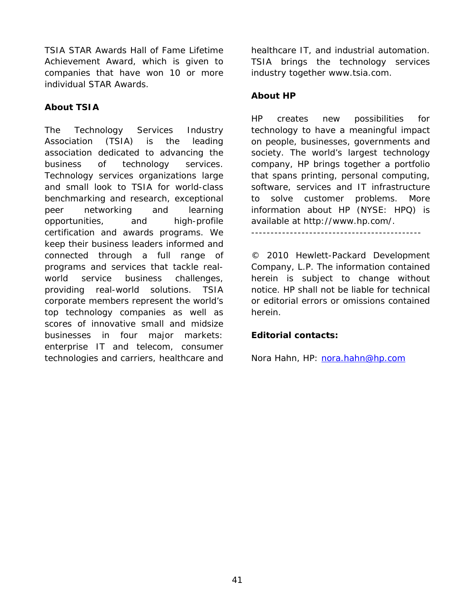TSIA STAR Awards Hall of Fame Lifetime Achievement Award, which is given to companies that have won 10 or more individual STAR Awards.

#### **About TSIA**

The Technology Services Industry Association (TSIA) is the leading association dedicated to advancing the business of technology services. Technology services organizations large and small look to TSIA for world-class benchmarking and research, exceptional peer networking and learning opportunities, and high-profile certification and awards programs. We keep their business leaders informed and connected through a full range of programs and services that tackle realworld service business challenges, providing real-world solutions. TSIA corporate members represent the world's top technology companies as well as scores of innovative small and midsize businesses in four major markets: enterprise IT and telecom, consumer technologies and carriers, healthcare and

healthcare IT, and industrial automation. TSIA brings the technology services industry together www.tsia.com.

#### **About HP**

HP creates new possibilities for technology to have a meaningful impact on people, businesses, governments and society. The world's largest technology company, HP brings together a portfolio that spans printing, personal computing, software, services and IT infrastructure to solve customer problems. More information about HP (NYSE: HPQ) is available at http://www.hp.com/.

--------------------------------------------

© 2010 Hewlett-Packard Development Company, L.P. The information contained herein is subject to change without notice. HP shall not be liable for technical or editorial errors or omissions contained herein.

#### **Editorial contacts:**

Nora Hahn, HP: [nora.hahn@hp.com](mailto:nora.hahn@hp.com)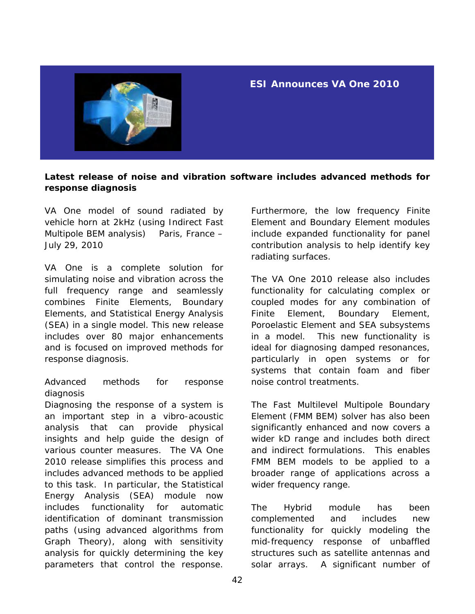![](_page_41_Picture_0.jpeg)

#### **ESI Announces VA One 2010**

#### **Latest release of noise and vibration software includes advanced methods for response diagnosis**

VA One model of sound radiated by vehicle horn at 2kHz (using Indirect Fast Multipole BEM analysis) Paris, France – July 29, 2010

VA One is a complete solution for simulating noise and vibration across the full frequency range and seamlessly combines Finite Elements, Boundary Elements, and Statistical Energy Analysis (SEA) in a single model. This new release includes over 80 major enhancements and is focused on improved methods for response diagnosis.

#### Advanced methods for response diagnosis

Diagnosing the response of a system is an important step in a vibro-acoustic analysis that can provide physical insights and help guide the design of various counter measures. The VA One 2010 release simplifies this process and includes advanced methods to be applied to this task. In particular, the Statistical Energy Analysis (SEA) module now includes functionality for automatic identification of dominant transmission paths (using advanced algorithms from Graph Theory), along with sensitivity analysis for quickly determining the key parameters that control the response.

Furthermore, the low frequency Finite Element and Boundary Element modules include expanded functionality for panel contribution analysis to help identify key radiating surfaces.

The VA One 2010 release also includes functionality for calculating complex or coupled modes for any combination of Finite Element, Boundary Element, Poroelastic Element and SEA subsystems in a model. This new functionality is ideal for diagnosing damped resonances, particularly in open systems or for systems that contain foam and fiber noise control treatments.

The Fast Multilevel Multipole Boundary Element (FMM BEM) solver has also been significantly enhanced and now covers a wider kD range and includes both direct and indirect formulations. This enables FMM BEM models to be applied to a broader range of applications across a wider frequency range.

The Hybrid module has been complemented and includes new functionality for quickly modeling the mid-frequency response of unbaffled structures such as satellite antennas and solar arrays. A significant number of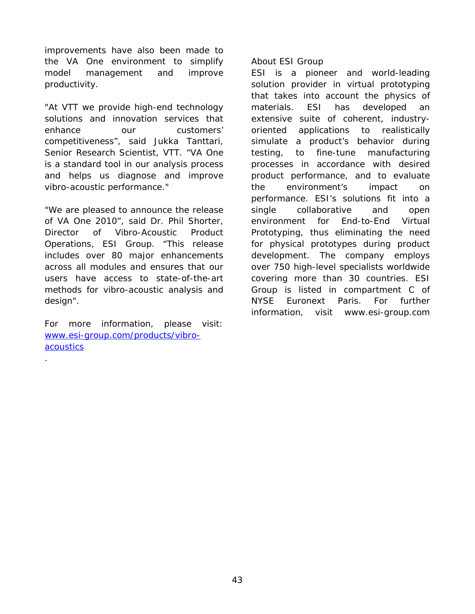improvements have also been made to the VA One environment to simplify model management and improve productivity.

"At VTT we provide high-end technology solutions and innovation services that enhance our customers' competitiveness", said Jukka Tanttari, Senior Research Scientist, VTT. "VA One is a standard tool in our analysis process and helps us diagnose and improve vibro-acoustic performance."

"We are pleased to announce the release of VA One 2010", said Dr. Phil Shorter, Director of Vibro-Acoustic Product Operations, ESI Group. "This release includes over 80 major enhancements across all modules and ensures that our users have access to state-of-the-art methods for vibro-acoustic analysis and design".

For more information, please visit: [www.esi-group.com/products/vibro](http://www.esi-group.com/products/vibro-acoustics)[acoustics](http://www.esi-group.com/products/vibro-acoustics)

.

About ESI Group

ESI is a pioneer and world-leading solution provider in virtual prototyping that takes into account the physics of materials. ESI has developed an extensive suite of coherent, industryoriented applications to realistically simulate a product's behavior during testing, to fine-tune manufacturing processes in accordance with desired product performance, and to evaluate the environment's impact on performance. ESI's solutions fit into a single collaborative and open environment for End-to-End Virtual Prototyping, thus eliminating the need for physical prototypes during product development. The company employs over 750 high-level specialists worldwide covering more than 30 countries. ESI Group is listed in compartment C of NYSE Euronext Paris. For further information, visit www.esi-group.com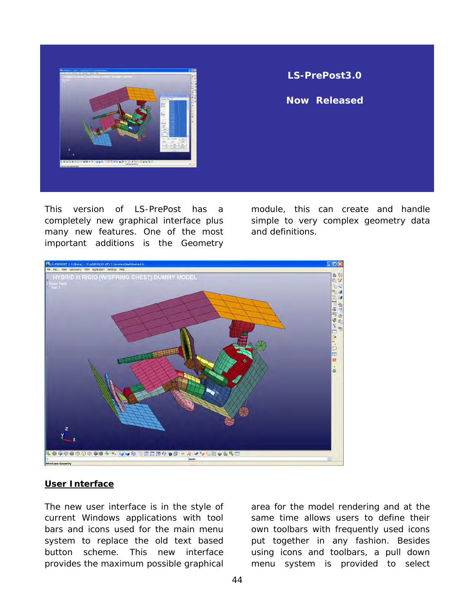![](_page_43_Picture_0.jpeg)

#### **LS-PrePost3.0**

**Now Released**

This version of LS-PrePost has a completely new graphical interface plus many new features. One of the most important additions is the Geometry

module, this can create and handle simple to very complex geometry data and definitions.

![](_page_43_Picture_5.jpeg)

#### **User Interface**

The new user interface is in the style of current Windows applications with tool bars and icons used for the main menu system to replace the old text based button scheme. This new interface provides the maximum possible graphical

area for the model rendering and at the same time allows users to define their own toolbars with frequently used icons put together in any fashion. Besides using icons and toolbars, a pull down menu system is provided to select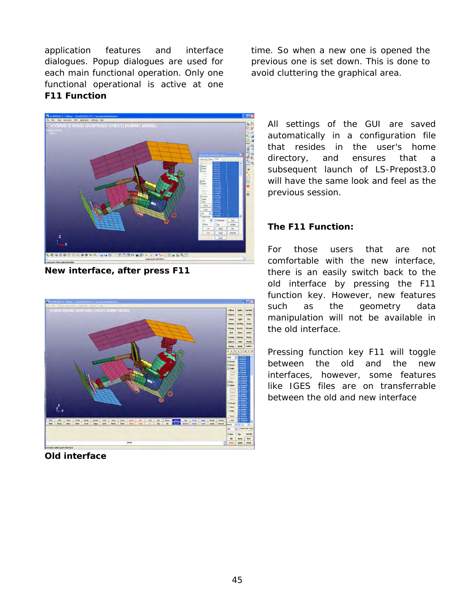application features and interface dialogues. Popup dialogues are used for each main functional operation. Only one functional operational is active at one **F11 Function** 

time. So when a new one is opened the previous one is set down. This is done to avoid cluttering the graphical area.

![](_page_44_Picture_2.jpeg)

**New interface, after press F11** 

![](_page_44_Picture_4.jpeg)

**Old interface** 

All settings of the GUI are saved automatically in a configuration file that resides in the user's home directory, and ensures that a subsequent launch of LS-Prepost3.0 will have the same look and feel as the previous session.

#### **The F11 Function:**

For those users that are not comfortable with the new interface, there is an easily switch back to the old interface by pressing the F11 function key. However, new features such as the geometry data manipulation will not be available in the old interface.

Pressing function key F11 will toggle between the old and the new interfaces, however, some features like IGES files are on transferrable between the old and new interface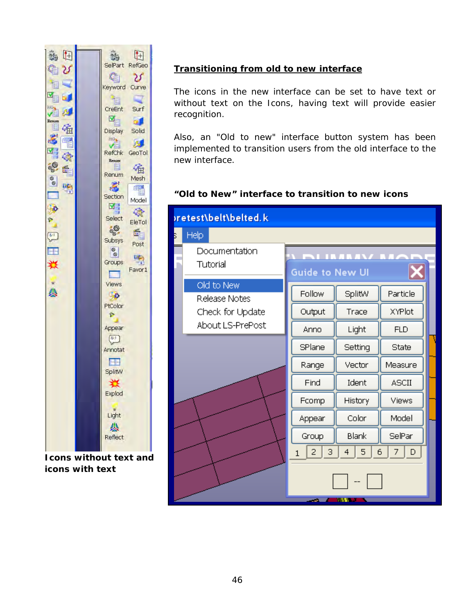![](_page_45_Figure_0.jpeg)

**Icons without text and icons with text**

#### **Transitioning from old to new interface**

The icons in the new interface can be set to have text or without text on the Icons, having text will provide easier recognition.

Also, an "Old to new" interface button system has been implemented to transition users from the old interface to the new interface.

#### **"Old to New" interface to transition to new icons**

| oretest\belt\belted.k |                                   |                          |         |               |  |  |  |
|-----------------------|-----------------------------------|--------------------------|---------|---------------|--|--|--|
| Б                     | Help                              |                          |         |               |  |  |  |
|                       | Documentation                     |                          |         |               |  |  |  |
|                       | Tutorial                          | <b>Guide to New UI</b>   |         |               |  |  |  |
|                       | Old to New                        | Follow                   | SplitW  | Particle      |  |  |  |
|                       | Release Notes<br>Check for Update | Output                   | Trace   | <b>XYPlot</b> |  |  |  |
|                       | About LS-PrePost                  | Anno                     | Light   | <b>FLD</b>    |  |  |  |
|                       |                                   | SPlane                   | Setting | State         |  |  |  |
|                       |                                   | Range                    | Vector  | Measure       |  |  |  |
|                       |                                   | Find                     | Ident   | <b>ASCII</b>  |  |  |  |
|                       |                                   | Fcomp                    | History | Views         |  |  |  |
|                       |                                   | Appear                   | Color   | Model         |  |  |  |
|                       |                                   | Group                    | Blank   | SelPar        |  |  |  |
|                       |                                   | $\overline{2}$<br>З<br>1 | 4<br>5  | 6<br>7   D    |  |  |  |
|                       |                                   |                          |         |               |  |  |  |
|                       | m v<br>- 1                        |                          |         |               |  |  |  |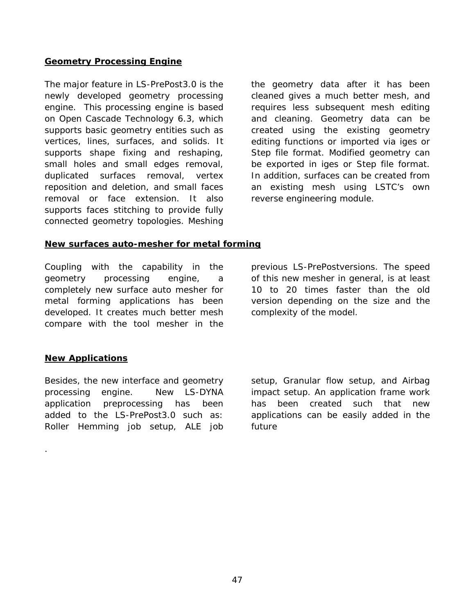#### **Geometry Processing Engine**

The major feature in LS-PrePost3.0 is the newly developed geometry processing engine. This processing engine is based on Open Cascade Technology 6.3, which supports basic geometry entities such as vertices, lines, surfaces, and solids. It supports shape fixing and reshaping, small holes and small edges removal, duplicated surfaces removal, vertex reposition and deletion, and small faces removal or face extension. It also supports faces stitching to provide fully connected geometry topologies. Meshing the geometry data after it has been cleaned gives a much better mesh, and requires less subsequent mesh editing and cleaning. Geometry data can be created using the existing geometry editing functions or imported via iges or Step file format. Modified geometry can be exported in iges or Step file format. In addition, surfaces can be created from an existing mesh using LSTC's own reverse engineering module.

#### **New surfaces auto-mesher for metal forming**

Coupling with the capability in the geometry processing engine, a completely new surface auto mesher for metal forming applications has been developed. It creates much better mesh compare with the tool mesher in the

previous LS-PrePostversions. The speed of this new mesher in general, is at least 10 to 20 times faster than the old version depending on the size and the complexity of the model.

#### **New Applications**

.

Besides, the new interface and geometry processing engine. New LS-DYNA application preprocessing has been added to the LS-PrePost3.0 such as: Roller Hemming job setup, ALE job

setup, Granular flow setup, and Airbag impact setup. An application frame work has been created such that new applications can be easily added in the future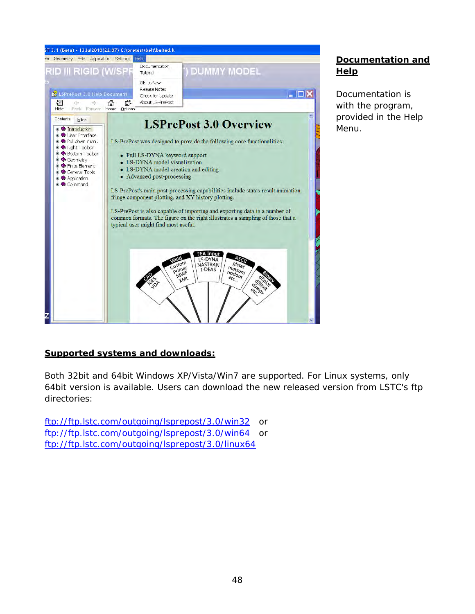![](_page_47_Picture_0.jpeg)

#### **Documentation and Help**

Documentation is with the program, provided in the Help Menu.

#### **Supported systems and downloads:**

Both 32bit and 64bit Windows XP/Vista/Win7 are supported. For Linux systems, only 64bit version is available. Users can download the new released version from LSTC's ftp directories:

<ftp://ftp.lstc.com/outgoing/lsprepost/3.0/win32> or <ftp://ftp.lstc.com/outgoing/lsprepost/3.0/win64> or <ftp://ftp.lstc.com/outgoing/lsprepost/3.0/linux64>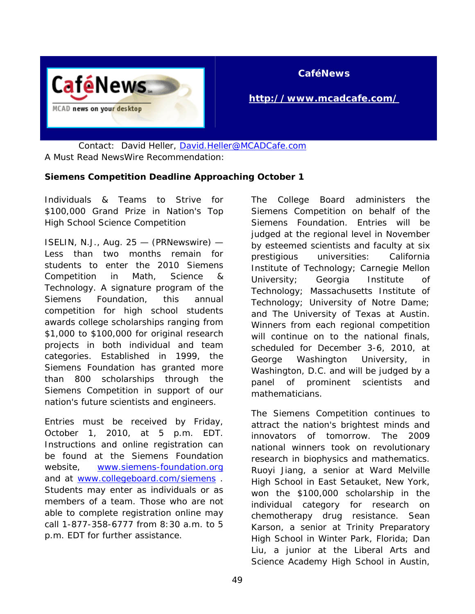![](_page_48_Picture_0.jpeg)

#### **CaféNews**

#### **<http://www.mcadcafe.com/>**

 Contact: David Heller, [David.Heller@MCADCafe.com](mailto:David.Heller@MCADCafe.com) A Must Read NewsWire Recommendation:

#### **Siemens Competition Deadline Approaching October 1**

Individuals & Teams to Strive for \$100,000 Grand Prize in Nation's Top High School Science Competition

ISELIN, N.J., Aug. 25 — (PRNewswire) — Less than two months remain for students to enter the 2010 Siemens Competition in Math, Science & Technology. A signature program of the Siemens Foundation, this annual competition for high school students awards college scholarships ranging from \$1,000 to \$100,000 for original research projects in both individual and team categories. Established in 1999, the Siemens Foundation has granted more than 800 scholarships through the Siemens Competition in support of our nation's future scientists and engineers.

Entries must be received by Friday, October 1, 2010, at 5 p.m. EDT. Instructions and online registration can be found at the Siemens Foundation website, [www.siemens-foundation.org](http://www.siemens-foundation.org/) and at [www.collegeboard.com/siemens](http://www.collegeboard.com/siemens) . Students may enter as individuals or as members of a team. Those who are not able to complete registration online may call 1-877-358-6777 from 8:30 a.m. to 5 p.m. EDT for further assistance.

The College Board administers the Siemens Competition on behalf of the Siemens Foundation. Entries will be judged at the regional level in November by esteemed scientists and faculty at six prestigious universities: California Institute of Technology; Carnegie Mellon University; Georgia Institute of Technology; Massachusetts Institute of Technology; University of Notre Dame; and The University of Texas at Austin. Winners from each regional competition will continue on to the national finals, scheduled for December 3-6, 2010, at George Washington University, in Washington, D.C. and will be judged by a panel of prominent scientists and mathematicians.

The Siemens Competition continues to attract the nation's brightest minds and innovators of tomorrow. The 2009 national winners took on revolutionary research in biophysics and mathematics. Ruoyi Jiang, a senior at Ward Melville High School in East Setauket, New York, won the \$100,000 scholarship in the individual category for research on chemotherapy drug resistance. Sean Karson, a senior at Trinity Preparatory High School in Winter Park, Florida; Dan Liu, a junior at the Liberal Arts and Science Academy High School in Austin,